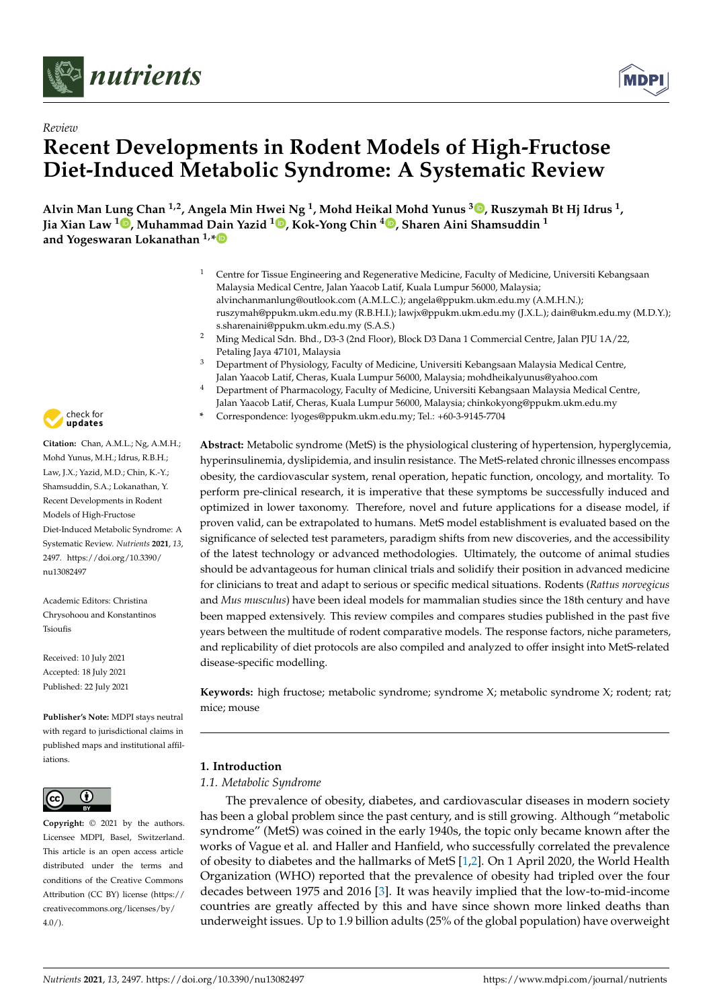



# *Review* **Recent Developments in Rodent Models of High-Fructose Diet-Induced Metabolic Syndrome: A Systematic Review**

**Alvin Man Lung Chan 1,2, Angela Min Hwei Ng <sup>1</sup> , Mohd Heikal Mohd Yunus <sup>3</sup> [,](https://orcid.org/0000-0002-6793-2043) Ruszymah Bt Hj Idrus <sup>1</sup> , Jia Xian Law <sup>1</sup> [,](https://orcid.org/0000-0001-9045-5145) Muhammad Dain Yazid <sup>1</sup> [,](https://orcid.org/0000-0001-6162-4405) Kok-Yong Chin <sup>4</sup> [,](https://orcid.org/0000-0001-6628-1552) Sharen Aini Shamsuddin <sup>1</sup> and Yogeswaran Lokanathan 1,[\\*](https://orcid.org/0000-0002-9548-6490)**

- <sup>1</sup> Centre for Tissue Engineering and Regenerative Medicine, Faculty of Medicine, Universiti Kebangsaan Malaysia Medical Centre, Jalan Yaacob Latif, Kuala Lumpur 56000, Malaysia; alvinchanmanlung@outlook.com (A.M.L.C.); angela@ppukm.ukm.edu.my (A.M.H.N.); ruszymah@ppukm.ukm.edu.my (R.B.H.I.); lawjx@ppukm.ukm.edu.my (J.X.L.); dain@ukm.edu.my (M.D.Y.); s.sharenaini@ppukm.ukm.edu.my (S.A.S.)
- <sup>2</sup> Ming Medical Sdn. Bhd., D3-3 (2nd Floor), Block D3 Dana 1 Commercial Centre, Jalan PJU 1A/22, Petaling Jaya 47101, Malaysia
- <sup>3</sup> Department of Physiology, Faculty of Medicine, Universiti Kebangsaan Malaysia Medical Centre, Jalan Yaacob Latif, Cheras, Kuala Lumpur 56000, Malaysia; mohdheikalyunus@yahoo.com
- <sup>4</sup> Department of Pharmacology, Faculty of Medicine, Universiti Kebangsaan Malaysia Medical Centre, Jalan Yaacob Latif, Cheras, Kuala Lumpur 56000, Malaysia; chinkokyong@ppukm.ukm.edu.my
- **\*** Correspondence: lyoges@ppukm.ukm.edu.my; Tel.: +60-3-9145-7704

**Abstract:** Metabolic syndrome (MetS) is the physiological clustering of hypertension, hyperglycemia, hyperinsulinemia, dyslipidemia, and insulin resistance. The MetS-related chronic illnesses encompass obesity, the cardiovascular system, renal operation, hepatic function, oncology, and mortality. To perform pre-clinical research, it is imperative that these symptoms be successfully induced and optimized in lower taxonomy. Therefore, novel and future applications for a disease model, if proven valid, can be extrapolated to humans. MetS model establishment is evaluated based on the significance of selected test parameters, paradigm shifts from new discoveries, and the accessibility of the latest technology or advanced methodologies. Ultimately, the outcome of animal studies should be advantageous for human clinical trials and solidify their position in advanced medicine for clinicians to treat and adapt to serious or specific medical situations. Rodents (*Rattus norvegicus* and *Mus musculus*) have been ideal models for mammalian studies since the 18th century and have been mapped extensively. This review compiles and compares studies published in the past five years between the multitude of rodent comparative models. The response factors, niche parameters, and replicability of diet protocols are also compiled and analyzed to offer insight into MetS-related disease-specific modelling.

**Keywords:** high fructose; metabolic syndrome; syndrome X; metabolic syndrome X; rodent; rat; mice; mouse

## **1. Introduction**

## *1.1. Metabolic Syndrome*

The prevalence of obesity, diabetes, and cardiovascular diseases in modern society has been a global problem since the past century, and is still growing. Although "metabolic syndrome" (MetS) was coined in the early 1940s, the topic only became known after the works of Vague et al. and Haller and Hanfield, who successfully correlated the prevalence of obesity to diabetes and the hallmarks of MetS [\[1,](#page-18-0)[2\]](#page-18-1). On 1 April 2020, the World Health Organization (WHO) reported that the prevalence of obesity had tripled over the four decades between 1975 and 2016 [\[3\]](#page-18-2). It was heavily implied that the low-to-mid-income countries are greatly affected by this and have since shown more linked deaths than underweight issues. Up to 1.9 billion adults (25% of the global population) have overweight



**Citation:** Chan, A.M.L.; Ng, A.M.H.; Mohd Yunus, M.H.; Idrus, R.B.H.; Law, J.X.; Yazid, M.D.; Chin, K.-Y.; Shamsuddin, S.A.; Lokanathan, Y. Recent Developments in Rodent Models of High-Fructose Diet-Induced Metabolic Syndrome: A Systematic Review. *Nutrients* **2021**, *13*, 2497. [https://doi.org/10.3390/](https://doi.org/10.3390/nu13082497) [nu13082497](https://doi.org/10.3390/nu13082497)

Academic Editors: Christina Chrysohoou and Konstantinos Tsioufis

Received: 10 July 2021 Accepted: 18 July 2021 Published: 22 July 2021

**Publisher's Note:** MDPI stays neutral with regard to jurisdictional claims in published maps and institutional affiliations.



**Copyright:** © 2021 by the authors. Licensee MDPI, Basel, Switzerland. This article is an open access article distributed under the terms and conditions of the Creative Commons Attribution (CC BY) license (https:/[/](https://creativecommons.org/licenses/by/4.0/) [creativecommons.org/licenses/by/](https://creativecommons.org/licenses/by/4.0/)  $4.0/$ ).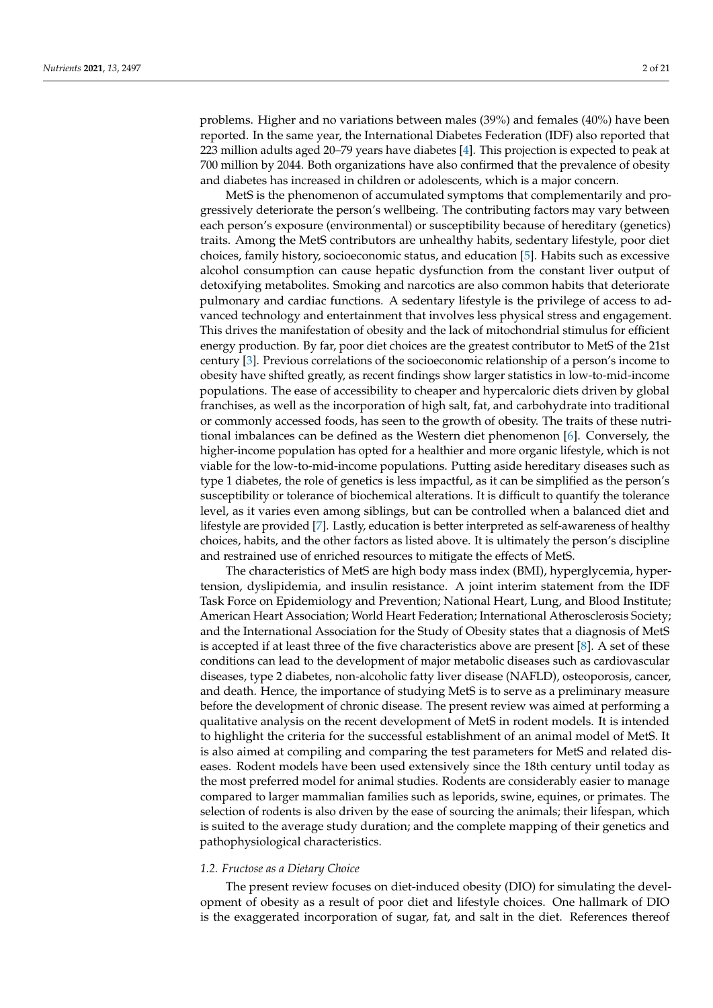problems. Higher and no variations between males (39%) and females (40%) have been reported. In the same year, the International Diabetes Federation (IDF) also reported that 223 million adults aged 20–79 years have diabetes [\[4\]](#page-18-3). This projection is expected to peak at 700 million by 2044. Both organizations have also confirmed that the prevalence of obesity and diabetes has increased in children or adolescents, which is a major concern.

MetS is the phenomenon of accumulated symptoms that complementarily and progressively deteriorate the person's wellbeing. The contributing factors may vary between each person's exposure (environmental) or susceptibility because of hereditary (genetics) traits. Among the MetS contributors are unhealthy habits, sedentary lifestyle, poor diet choices, family history, socioeconomic status, and education [\[5\]](#page-18-4). Habits such as excessive alcohol consumption can cause hepatic dysfunction from the constant liver output of detoxifying metabolites. Smoking and narcotics are also common habits that deteriorate pulmonary and cardiac functions. A sedentary lifestyle is the privilege of access to advanced technology and entertainment that involves less physical stress and engagement. This drives the manifestation of obesity and the lack of mitochondrial stimulus for efficient energy production. By far, poor diet choices are the greatest contributor to MetS of the 21st century [\[3\]](#page-18-2). Previous correlations of the socioeconomic relationship of a person's income to obesity have shifted greatly, as recent findings show larger statistics in low-to-mid-income populations. The ease of accessibility to cheaper and hypercaloric diets driven by global franchises, as well as the incorporation of high salt, fat, and carbohydrate into traditional or commonly accessed foods, has seen to the growth of obesity. The traits of these nutritional imbalances can be defined as the Western diet phenomenon [\[6\]](#page-18-5). Conversely, the higher-income population has opted for a healthier and more organic lifestyle, which is not viable for the low-to-mid-income populations. Putting aside hereditary diseases such as type 1 diabetes, the role of genetics is less impactful, as it can be simplified as the person's susceptibility or tolerance of biochemical alterations. It is difficult to quantify the tolerance level, as it varies even among siblings, but can be controlled when a balanced diet and lifestyle are provided [\[7\]](#page-18-6). Lastly, education is better interpreted as self-awareness of healthy choices, habits, and the other factors as listed above. It is ultimately the person's discipline and restrained use of enriched resources to mitigate the effects of MetS.

The characteristics of MetS are high body mass index (BMI), hyperglycemia, hypertension, dyslipidemia, and insulin resistance. A joint interim statement from the IDF Task Force on Epidemiology and Prevention; National Heart, Lung, and Blood Institute; American Heart Association; World Heart Federation; International Atherosclerosis Society; and the International Association for the Study of Obesity states that a diagnosis of MetS is accepted if at least three of the five characteristics above are present  $[8]$ . A set of these conditions can lead to the development of major metabolic diseases such as cardiovascular diseases, type 2 diabetes, non-alcoholic fatty liver disease (NAFLD), osteoporosis, cancer, and death. Hence, the importance of studying MetS is to serve as a preliminary measure before the development of chronic disease. The present review was aimed at performing a qualitative analysis on the recent development of MetS in rodent models. It is intended to highlight the criteria for the successful establishment of an animal model of MetS. It is also aimed at compiling and comparing the test parameters for MetS and related diseases. Rodent models have been used extensively since the 18th century until today as the most preferred model for animal studies. Rodents are considerably easier to manage compared to larger mammalian families such as leporids, swine, equines, or primates. The selection of rodents is also driven by the ease of sourcing the animals; their lifespan, which is suited to the average study duration; and the complete mapping of their genetics and pathophysiological characteristics.

### *1.2. Fructose as a Dietary Choice*

The present review focuses on diet-induced obesity (DIO) for simulating the development of obesity as a result of poor diet and lifestyle choices. One hallmark of DIO is the exaggerated incorporation of sugar, fat, and salt in the diet. References thereof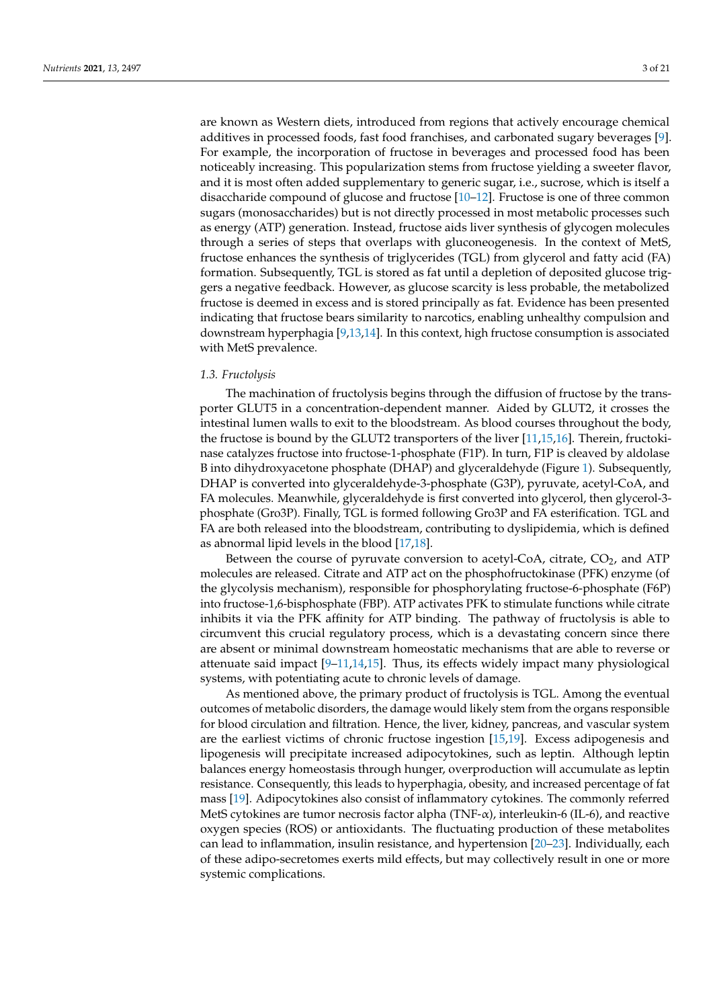are known as Western diets, introduced from regions that actively encourage chemical additives in processed foods, fast food franchises, and carbonated sugary beverages [\[9\]](#page-18-8). For example, the incorporation of fructose in beverages and processed food has been noticeably increasing. This popularization stems from fructose yielding a sweeter flavor, and it is most often added supplementary to generic sugar, i.e., sucrose, which is itself a disaccharide compound of glucose and fructose [\[10–](#page-18-9)[12\]](#page-18-10). Fructose is one of three common sugars (monosaccharides) but is not directly processed in most metabolic processes such as energy (ATP) generation. Instead, fructose aids liver synthesis of glycogen molecules through a series of steps that overlaps with gluconeogenesis. In the context of MetS, fructose enhances the synthesis of triglycerides (TGL) from glycerol and fatty acid (FA) formation. Subsequently, TGL is stored as fat until a depletion of deposited glucose triggers a negative feedback. However, as glucose scarcity is less probable, the metabolized fructose is deemed in excess and is stored principally as fat. Evidence has been presented indicating that fructose bears similarity to narcotics, enabling unhealthy compulsion and downstream hyperphagia [\[9,](#page-18-8)[13,](#page-18-11)[14\]](#page-18-12). In this context, high fructose consumption is associated with MetS prevalence.

## *1.3. Fructolysis*

The machination of fructolysis begins through the diffusion of fructose by the transporter GLUT5 in a concentration-dependent manner. Aided by GLUT2, it crosses the intestinal lumen walls to exit to the bloodstream. As blood courses throughout the body, the fructose is bound by the GLUT2 transporters of the liver [\[11](#page-18-13)[,15](#page-18-14)[,16\]](#page-18-15). Therein, fructokinase catalyzes fructose into fructose-1-phosphate (F1P). In turn, F1P is cleaved by aldolase B into dihydroxyacetone phosphate (DHAP) and glyceraldehyde (Figure [1\)](#page-3-0). Subsequently, DHAP is converted into glyceraldehyde-3-phosphate (G3P), pyruvate, acetyl-CoA, and FA molecules. Meanwhile, glyceraldehyde is first converted into glycerol, then glycerol-3 phosphate (Gro3P). Finally, TGL is formed following Gro3P and FA esterification. TGL and FA are both released into the bloodstream, contributing to dyslipidemia, which is defined as abnormal lipid levels in the blood [\[17](#page-18-16)[,18\]](#page-19-0).

Between the course of pyruvate conversion to acetyl-CoA, citrate,  $CO<sub>2</sub>$ , and ATP molecules are released. Citrate and ATP act on the phosphofructokinase (PFK) enzyme (of the glycolysis mechanism), responsible for phosphorylating fructose-6-phosphate (F6P) into fructose-1,6-bisphosphate (FBP). ATP activates PFK to stimulate functions while citrate inhibits it via the PFK affinity for ATP binding. The pathway of fructolysis is able to circumvent this crucial regulatory process, which is a devastating concern since there are absent or minimal downstream homeostatic mechanisms that are able to reverse or attenuate said impact [\[9–](#page-18-8)[11,](#page-18-13)[14,](#page-18-12)[15\]](#page-18-14). Thus, its effects widely impact many physiological systems, with potentiating acute to chronic levels of damage.

As mentioned above, the primary product of fructolysis is TGL. Among the eventual outcomes of metabolic disorders, the damage would likely stem from the organs responsible for blood circulation and filtration. Hence, the liver, kidney, pancreas, and vascular system are the earliest victims of chronic fructose ingestion [\[15](#page-18-14)[,19\]](#page-19-1). Excess adipogenesis and lipogenesis will precipitate increased adipocytokines, such as leptin. Although leptin balances energy homeostasis through hunger, overproduction will accumulate as leptin resistance. Consequently, this leads to hyperphagia, obesity, and increased percentage of fat mass [\[19\]](#page-19-1). Adipocytokines also consist of inflammatory cytokines. The commonly referred MetS cytokines are tumor necrosis factor alpha (TNF- $\alpha$ ), interleukin-6 (IL-6), and reactive oxygen species (ROS) or antioxidants. The fluctuating production of these metabolites can lead to inflammation, insulin resistance, and hypertension [\[20](#page-19-2)[–23\]](#page-19-3). Individually, each of these adipo-secretomes exerts mild effects, but may collectively result in one or more systemic complications.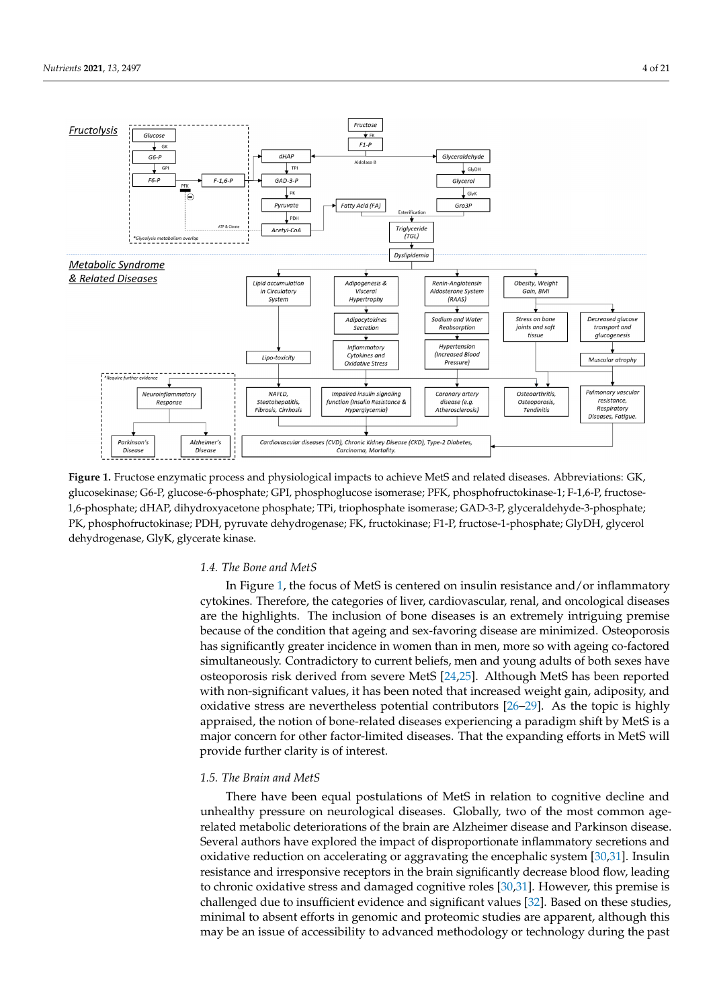<span id="page-3-0"></span>

Figure 1. Fructose enzymatic process and physiological impacts to achieve MetS and related diseases. Abbreviations: GK, glucosekinase; G6-P, glucose-6-phosphate; GPI, phosphoglucose isomerase; PFK, phosphofructokinase-1; F-1,6-P, fructose-1,6-phosphate; dHAP, dihydroxyacetone phosphate; TPi, triophosphate isomerase; GAD-3-P, glyceraldehyde-3-phosphate; PK, phosphofructokinase; PDH, pyruvate dehydrogenase; FK, fructokinase; F1-P, fructose-1-phosphate; GlyDH, glycerol GlyDH, glycerol dehydrogenase, GlyK, glycerate kinase. dehydrogenase, GlyK, glycerate kinase.

## *1.4. The Bone and MetS 1.4. The Bone and MetS*

In Figure 1, the focus of MetS is centered on insulin resistance and/or inflammatory In Figure [1,](#page-3-0) the focus of MetS is centered on insulin resistance and/or inflammatory cytokines. Therefore, the categories of liver, cardiovascular, renal, and oncological dis-cytokines. Therefore, the categories of liver, cardiovascular, renal, and oncological diseases are the highlights. The inclusion of bone diseases is an extremely intriguing premise because of the condition that ageing and sex-favoring disease are minimized. Osteoporosis has significantly greater incidence in women than in men, more so with ageing co-factored simultaneously. Contradictory to current beliefs, men and young adults of both sexes have osteoporosis risk derived from severe MetS [\[24,](#page-19-4)[25\]](#page-19-5). Although MetS has been reported with non-significant values, it has been noted that increased weight gain, adiposity, and oxidative stress are nevertheless potential contributors [\[26](#page-19-6)[–29\]](#page-19-7). As the topic is highly appraised, the notion of bone-related diseases experiencing a paradigm shift by MetS is a major concern for other factor-limited diseases. That the expanding efforts in MetS will provide further clarity is of interest.

each of these adipo-secretomes exerts mild effects, but may collectively result in one or

## *1.5. The Brain and MetS 1.5. The Brain and MetS*

There have been equal postulations of MetS in relation to cognitive decline and unhealthy pressure on neurological diseases. Globally, two of the most common agerelated metabolic deteriorations of the brain are Alzheimer disease and Parkinson disease. Several authors have explored the impact of disproportionate inflammatory secretions and oxidative reduction on accelerating or aggravating the encephalic system [\[30,](#page-19-8)[31\]](#page-19-9). Insulin resistance and irresponsive receptors in the brain significantly decrease blood flow, leading to chronic oxidative stress and damaged cognitive roles  $[30,31]$  $[30,31]$ . However, this premise is challenged due to insufficient evidence and significant values [\[32\]](#page-19-10). Based on these studies, minimal to absent efforts in genomic and proteomic studies are apparent, although this may be an issue of accessibility to advanced methodology or technology during the past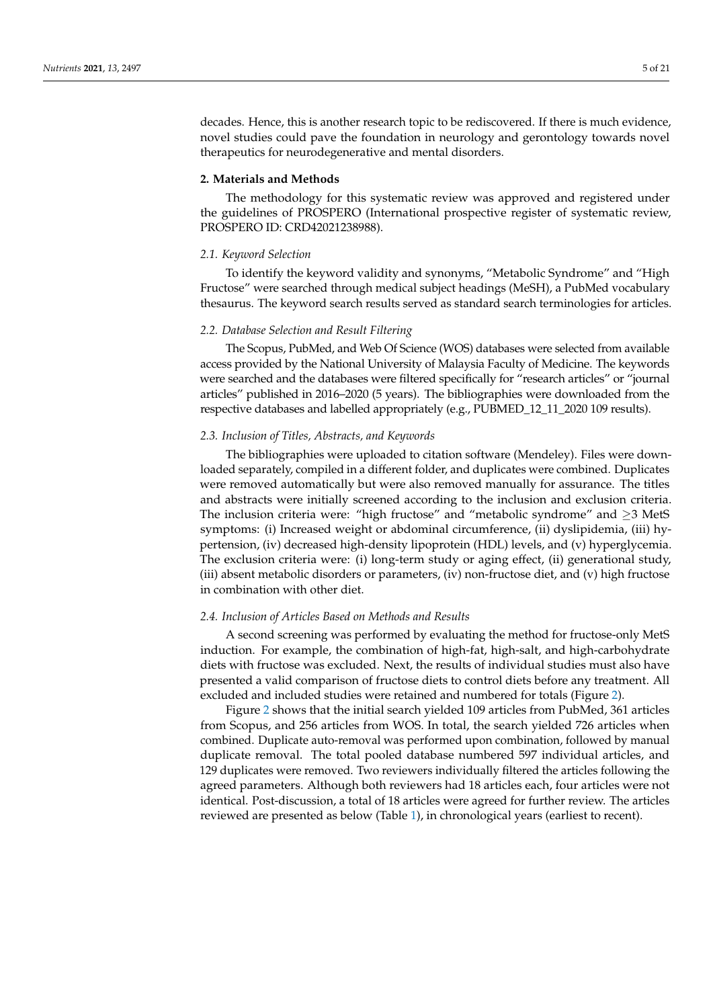decades. Hence, this is another research topic to be rediscovered. If there is much evidence, novel studies could pave the foundation in neurology and gerontology towards novel therapeutics for neurodegenerative and mental disorders.

## **2. Materials and Methods**

The methodology for this systematic review was approved and registered under the guidelines of PROSPERO (International prospective register of systematic review, PROSPERO ID: CRD42021238988).

## *2.1. Keyword Selection*

To identify the keyword validity and synonyms, "Metabolic Syndrome" and "High Fructose" were searched through medical subject headings (MeSH), a PubMed vocabulary thesaurus. The keyword search results served as standard search terminologies for articles.

## *2.2. Database Selection and Result Filtering*

The Scopus, PubMed, and Web Of Science (WOS) databases were selected from available access provided by the National University of Malaysia Faculty of Medicine. The keywords were searched and the databases were filtered specifically for "research articles" or "journal articles" published in 2016–2020 (5 years). The bibliographies were downloaded from the respective databases and labelled appropriately (e.g., PUBMED\_12\_11\_2020 109 results).

## *2.3. Inclusion of Titles, Abstracts, and Keywords*

The bibliographies were uploaded to citation software (Mendeley). Files were downloaded separately, compiled in a different folder, and duplicates were combined. Duplicates were removed automatically but were also removed manually for assurance. The titles and abstracts were initially screened according to the inclusion and exclusion criteria. The inclusion criteria were: "high fructose" and "metabolic syndrome" and  $\geq$ 3 MetS symptoms: (i) Increased weight or abdominal circumference, (ii) dyslipidemia, (iii) hypertension, (iv) decreased high-density lipoprotein (HDL) levels, and (v) hyperglycemia. The exclusion criteria were: (i) long-term study or aging effect, (ii) generational study, (iii) absent metabolic disorders or parameters, (iv) non-fructose diet, and (v) high fructose in combination with other diet.

### *2.4. Inclusion of Articles Based on Methods and Results*

A second screening was performed by evaluating the method for fructose-only MetS induction. For example, the combination of high-fat, high-salt, and high-carbohydrate diets with fructose was excluded. Next, the results of individual studies must also have presented a valid comparison of fructose diets to control diets before any treatment. All excluded and included studies were retained and numbered for totals (Figure [2\)](#page-10-0).

Figure [2](#page-10-0) shows that the initial search yielded 109 articles from PubMed, 361 articles from Scopus, and 256 articles from WOS. In total, the search yielded 726 articles when combined. Duplicate auto-removal was performed upon combination, followed by manual duplicate removal. The total pooled database numbered 597 individual articles, and 129 duplicates were removed. Two reviewers individually filtered the articles following the agreed parameters. Although both reviewers had 18 articles each, four articles were not identical. Post-discussion, a total of 18 articles were agreed for further review. The articles reviewed are presented as below (Table [1\)](#page-5-0), in chronological years (earliest to recent).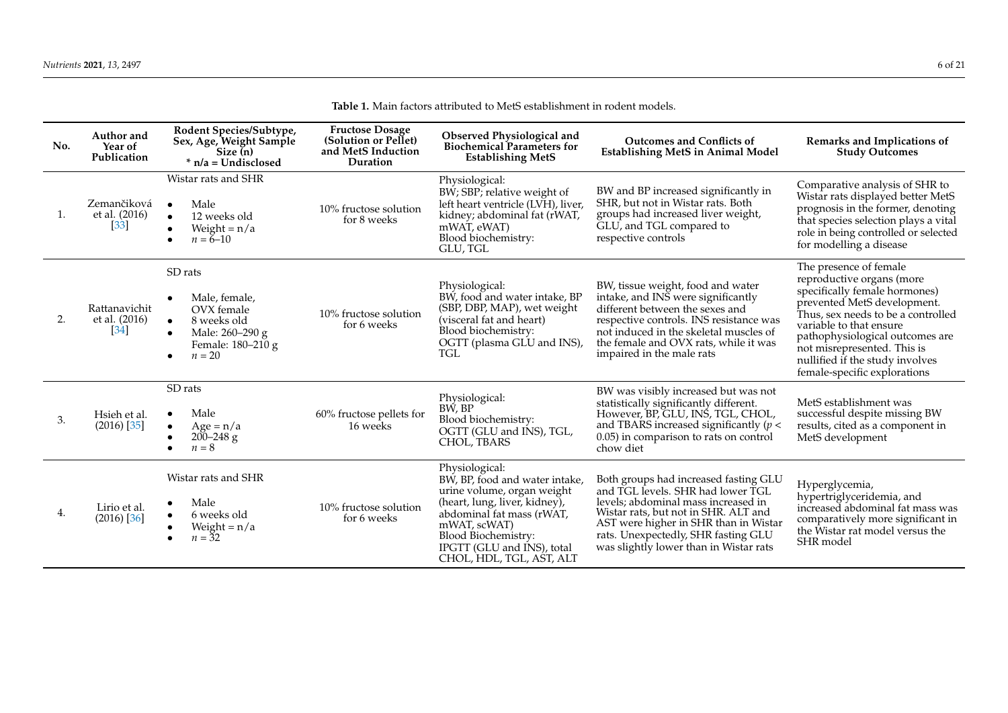**Table 1.** Main factors attributed to MetS establishment in rodent models.

<span id="page-5-0"></span>

| No. | Author and<br>Year of<br>Publication                | Rodent Species/Subtype,<br>Sex, Age, Weight Sample<br>Size(n)<br>$*$ n/a = Undisclosed                                              | <b>Fructose Dosage</b><br>(Solution or Pellet)<br>and MetS Induction<br>Duration | Observed Physiological and<br><b>Biochemical Parameters for</b><br><b>Establishing MetS</b>                                                                                                                                                   | <b>Outcomes and Conflicts of</b><br><b>Establishing MetS in Animal Model</b>                                                                                                                                                                                                        | Remarks and Implications of<br><b>Study Outcomes</b>                                                                                                                                                                                                                                                                      |
|-----|-----------------------------------------------------|-------------------------------------------------------------------------------------------------------------------------------------|----------------------------------------------------------------------------------|-----------------------------------------------------------------------------------------------------------------------------------------------------------------------------------------------------------------------------------------------|-------------------------------------------------------------------------------------------------------------------------------------------------------------------------------------------------------------------------------------------------------------------------------------|---------------------------------------------------------------------------------------------------------------------------------------------------------------------------------------------------------------------------------------------------------------------------------------------------------------------------|
| 1.  | Zemančiková<br>et al. (2016)<br>$\lceil 33 \rceil$  | Wistar rats and SHR<br>Male<br>12 weeks old<br>$\bullet$<br>Weight = $n/a$<br>$n = 6 - 10$                                          | 10% fructose solution<br>for 8 weeks                                             | Physiological:<br>BW; SBP; relative weight of<br>left heart ventricle (LVH), liver,<br>kidney; abdominal fat (rWAT,<br>mWAT, eWAT)<br>Blood biochemistry:<br>GLU, TGL                                                                         | BW and BP increased significantly in<br>SHR, but not in Wistar rats. Both<br>groups had increased liver weight,<br>GLU, and TGL compared to<br>respective controls                                                                                                                  | Comparative analysis of SHR to<br>Wistar rats displayed better MetS<br>prognosis in the former, denoting<br>that species selection plays a vital<br>role in being controlled or selected<br>for modelling a disease                                                                                                       |
| 2.  | Rattanavichit<br>et al. (2016)<br>$\left[34\right]$ | SD rats<br>Male, female,<br>OVX female<br>8 weeks old<br>$\bullet$<br>Male: 260-290 g<br>$\bullet$<br>Female: 180-210 g<br>$n = 20$ | 10% fructose solution<br>for 6 weeks                                             | Physiological:<br>BW, food and water intake, BP<br>(SBP, DBP, MAP), wet weight<br>(visceral fat and heart)<br>Blood biochemistry:<br>OGTT (plasma GLU and INS),<br><b>TGL</b>                                                                 | BW, tissue weight, food and water<br>intake, and INS were significantly<br>different between the sexes and<br>respective controls. INS resistance was<br>not induced in the skeletal muscles of<br>the female and OVX rats, while it was<br>impaired in the male rats               | The presence of female<br>reproductive organs (more<br>specifically female hormones)<br>prevented MetS development.<br>Thus, sex needs to be a controlled<br>variable to that ensure<br>pathophysiological outcomes are<br>not misrepresented. This is<br>nullified if the study involves<br>female-specific explorations |
| 3.  | Hsieh et al.<br>$(2016)$ [35]                       | SD rats<br>Male<br>$\bullet$<br>$Age = n/a$<br>$200 - 248$ g<br>$n = 8$                                                             | 60% fructose pellets for<br>16 weeks                                             | Physiological:<br>BW, BP<br>Blood biochemistry:<br>OGTT (GLU and INS), TGL,<br>CHOL, TBARS                                                                                                                                                    | BW was visibly increased but was not<br>statistically significantly different.<br>However, BP, GLU, INS, TGL, CHOL,<br>and TBARS increased significantly ( $p <$<br>0.05) in comparison to rats on control<br>chow diet                                                             | MetS establishment was<br>successful despite missing BW<br>results, cited as a component in<br>MetS development                                                                                                                                                                                                           |
| 4.  | Lirio et al.<br>$(2016)$ [36]                       | Wistar rats and SHR<br>Male<br>6 weeks old<br>Weight = $n/a$<br>$n = 32$                                                            | 10% fructose solution<br>for 6 weeks                                             | Physiological:<br>BW, BP, food and water intake,<br>urine volume, organ weight<br>(heart, lung, liver, kidney),<br>abdominal fat mass (rWAT,<br>mWAT, scWAT)<br>Blood Biochemistry:<br>IPGTT (GLU and INS), total<br>CHOL, HDL, TGL, AST, ALT | Both groups had increased fasting GLU<br>and TGL levels. SHR had lower TGL<br>levels; abdominal mass increased in<br>Wistar rats, but not in SHR. ALT and<br>AST were higher in SHR than in Wistar<br>rats. Unexpectedly, SHR fasting GLU<br>was slightly lower than in Wistar rats | Hyperglycemia,<br>hypertriglyceridemia, and<br>increased abdominal fat mass was<br>comparatively more significant in<br>the Wistar rat model versus the<br>SHR model                                                                                                                                                      |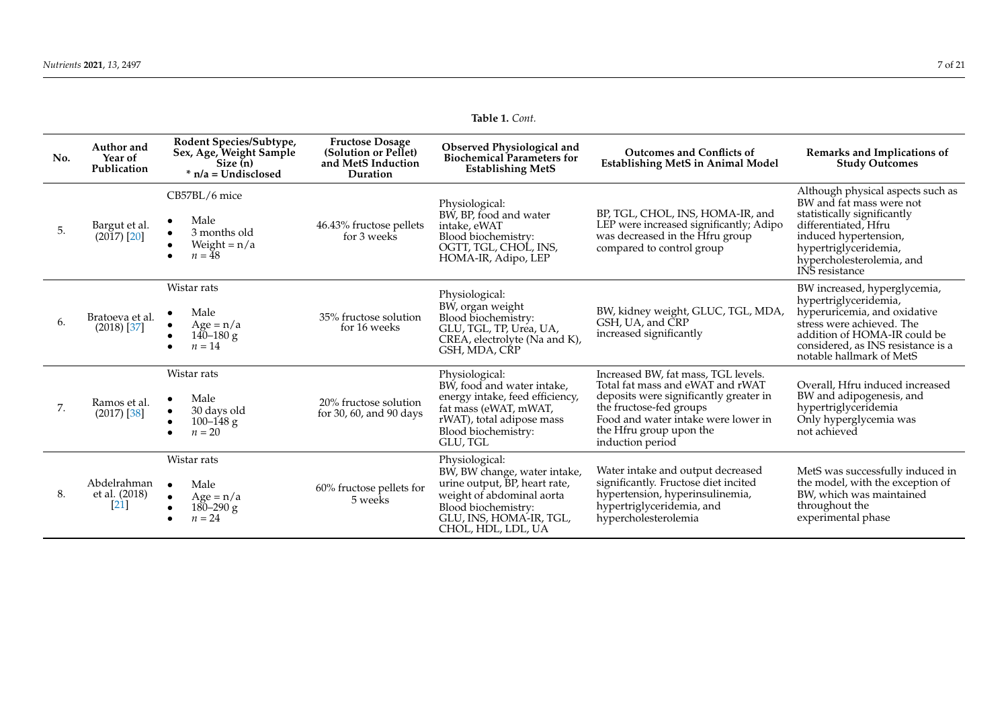**Table 1.** *Cont.*

| No. | Author and<br>Year of<br>Publication | Rodent Species/Subtype,<br>Sex, Age, Weight Sample<br>Size (n)<br>$*$ n/a = Undisclosed | <b>Fructose Dosage</b><br>(Solution or Pellet)<br>and MetS Induction<br>Duration | Observed Physiological and<br><b>Biochemical Parameters for</b><br><b>Establishing MetS</b>                                                                                          | <b>Outcomes and Conflicts of</b><br><b>Establishing MetS in Animal Model</b>                                                                                                                                                       | Remarks and Implications of<br><b>Study Outcomes</b>                                                                                                                                                                  |
|-----|--------------------------------------|-----------------------------------------------------------------------------------------|----------------------------------------------------------------------------------|--------------------------------------------------------------------------------------------------------------------------------------------------------------------------------------|------------------------------------------------------------------------------------------------------------------------------------------------------------------------------------------------------------------------------------|-----------------------------------------------------------------------------------------------------------------------------------------------------------------------------------------------------------------------|
| 5.  | Bargut et al.<br>$(2017)$ [20]       | CB57BL/6 mice<br>Male<br>3 months old<br>Weight = $n/a$<br>$n = 48$                     | 46.43% fructose pellets<br>for 3 weeks                                           | Physiological:<br>BW, BP, food and water<br>intake, eWAT<br>Blood biochemistry:<br>OGTT, TGL, CHOL, INS,<br>HOMA-IR, Adipo, LEP                                                      | BP, TGL, CHOL, INS, HOMA-IR, and<br>LEP were increased significantly; Adipo<br>was decreased in the Hfru group<br>compared to control group                                                                                        | Although physical aspects such as<br>BW and fat mass were not<br>statistically significantly<br>differentiated, Hfru<br>induced hypertension,<br>hypertriglyceridemia,<br>hypercholesterolemia, and<br>INS resistance |
| 6.  | Bratoeva et al.<br>$(2018)$ [37]     | Wistar rats<br>Male<br>$Age = n/a$<br>$140 - 180$ g<br>$n = 14$                         | 35% fructose solution<br>for 16 weeks                                            | Physiological:<br>BW, organ weight<br>Blood biochemistry:<br>GLU, TGL, TP, Urea, UA,<br>CREA, electrolyte (Na and K),<br>GSH, MDA, CRP                                               | BW, kidney weight, GLUC, TGL, MDA,<br>GSH. UA. and CRP<br>increased significantly                                                                                                                                                  | BW increased, hyperglycemia,<br>hypertriglyceridemia,<br>hyperuricemia, and oxidative<br>stress were achieved. The<br>addition of HOMA-IR could be<br>considered, as INS resistance is a<br>notable hallmark of MetS  |
| 7.  | Ramos et al.<br>$(2017)$ [38]        | Wistar rats<br>Male<br>30 days old<br>$100 - 148$ g<br>$n = 20$                         | 20% fructose solution<br>for 30, 60, and 90 days                                 | Physiological:<br>BW, food and water intake,<br>energy intake, feed efficiency,<br>fat mass (eWAT, mWAT,<br>rWAT), total adipose mass<br>Blood biochemistry:<br>GLU, TGL             | Increased BW, fat mass, TGL levels.<br>Total fat mass and eWAT and rWAT<br>deposits were significantly greater in<br>the fructose-fed groups<br>Food and water intake were lower in<br>the Hfru group upon the<br>induction period | Overall. Hfru induced increased<br>BW and adipogenesis, and<br>hypertriglyceridemia<br>Only hyperglycemia was<br>not achieved                                                                                         |
| 8.  | Abdelrahman<br>et al. (2018)<br> 21  | Wistar rats<br>Male<br>$\bullet$<br>$Age = n/a$<br>$180 - 290$ g<br>$n = 24$            | 60% fructose pellets for<br>5 weeks                                              | Physiological:<br>BW, BW change, water intake,<br>urine output, BP, heart rate,<br>weight of abdominal aorta<br>Blood biochemistry:<br>GLU, INS, HOMA-IR, TGL,<br>CHOL, HDL, LDL, UA | Water intake and output decreased<br>significantly. Fructose diet incited<br>hypertension, hyperinsulinemia,<br>hypertriglyceridemia, and<br>hypercholesterolemia                                                                  | MetS was successfully induced in<br>the model, with the exception of<br>BW, which was maintained<br>throughout the<br>experimental phase                                                                              |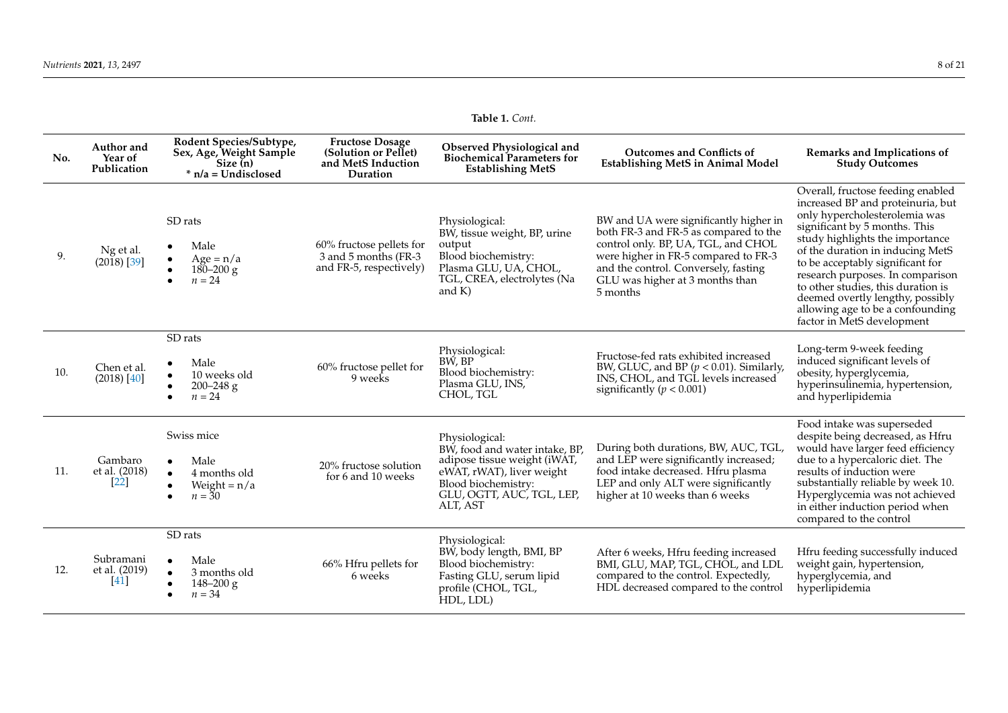**Table 1.** *Cont.*

| No. | Author and<br>Year of<br>Publication | Rodent Species/Subtype,<br>Sex, Age, Weight Sample<br>Size (n)<br>$*$ n/a = Undisclosed    | <b>Fructose Dosage</b><br>(Solution or Pellet)<br>and MetS Induction<br>Duration | Observed Physiological and<br><b>Biochemical Parameters for</b><br><b>Establishing MetS</b>                                                                                   | <b>Outcomes and Conflicts of</b><br><b>Establishing MetS in Animal Model</b>                                                                                                                                                                          | Remarks and Implications of<br><b>Study Outcomes</b>                                                                                                                                                                                                                                                                                                                                                                                |
|-----|--------------------------------------|--------------------------------------------------------------------------------------------|----------------------------------------------------------------------------------|-------------------------------------------------------------------------------------------------------------------------------------------------------------------------------|-------------------------------------------------------------------------------------------------------------------------------------------------------------------------------------------------------------------------------------------------------|-------------------------------------------------------------------------------------------------------------------------------------------------------------------------------------------------------------------------------------------------------------------------------------------------------------------------------------------------------------------------------------------------------------------------------------|
| 9.  | Ng et al.<br>$(2018)$ [39]           | SD rats<br>Male<br>$Age = n/a$<br>$180 - 200$ g<br>$n = 24$                                | 60% fructose pellets for<br>3 and 5 months (FR-3)<br>and FR-5, respectively)     | Physiological:<br>BW, tissue weight, BP, urine<br>output<br>Blood biochemistry:<br>Plasma GLU, UA, CHOL,<br>TGL, CREA, electrolytes (Na<br>and $K$ )                          | BW and UA were significantly higher in<br>both FR-3 and FR-5 as compared to the<br>control only. BP, UA, TGL, and CHOL<br>were higher in FR-5 compared to FR-3<br>and the control. Conversely, fasting<br>GLU was higher at 3 months than<br>5 months | Overall, fructose feeding enabled<br>increased BP and proteinuria, but<br>only hypercholesterolemia was<br>significant by 5 months. This<br>study highlights the importance<br>of the duration in inducing MetS<br>to be acceptably significant for<br>research purposes. In comparison<br>to other studies, this duration is<br>deemed overtly lengthy, possibly<br>allowing age to be a confounding<br>factor in MetS development |
| 10. | Chen et al.<br>$(2018)$ [40]         | SD rats<br>Male<br>10 weeks old<br>$\bullet$<br>$200 - 248$ g<br>$n = 24$                  | 60% fructose pellet for<br>9 weeks                                               | Physiological:<br>BW, BP<br>Blood biochemistry:<br>Plasma GLU, INS,<br>CHOL, TGL                                                                                              | Fructose-fed rats exhibited increased<br>BW, GLUC, and BP ( $p < 0.01$ ). Similarly,<br>INS, CHOL, and TGL levels increased<br>significantly ( $p < 0.001$ )                                                                                          | Long-term 9-week feeding<br>induced significant levels of<br>obesity, hyperglycemia,<br>hyperinsulinemia, hypertension,<br>and hyperlipidemia                                                                                                                                                                                                                                                                                       |
| 11. | Gambaro<br>et al. (2018)<br> 22      | Swiss mice<br>Male<br>4 months old<br>$\bullet$<br>Weight = $n/a$<br>$\bullet$<br>$n = 30$ | 20% fructose solution<br>for 6 and 10 weeks                                      | Physiological:<br>BW, food and water intake, BP,<br>adipose tissue weight (iWAT,<br>eWAT, rWAT), liver weight<br>Blood biochemistry:<br>GLU, OGTT, AUC, TGL, LEP,<br>ALT, AST | During both durations, BW, AUC, TGL,<br>and LEP were significantly increased;<br>food intake decreased. Hfru plasma<br>LEP and only ALT were significantly<br>higher at 10 weeks than 6 weeks                                                         | Food intake was superseded<br>despite being decreased, as Hfru<br>would have larger feed efficiency<br>due to a hypercaloric diet. The<br>results of induction were<br>substantially reliable by week 10.<br>Hyperglycemia was not achieved<br>in either induction period when<br>compared to the control                                                                                                                           |
| 12. | Subramani<br>et al. (2019)<br>[41]   | SD rats<br>Male<br>3 months old<br>$148 - 200$ g<br>$n = 34$                               | 66% Hfru pellets for<br>6 weeks                                                  | Physiological:<br>BW, body length, BMI, BP<br>Blood biochemistry:<br>Fasting GLU, serum lipid<br>profile (CHOL, TGL,<br>HDL, LDL)                                             | After 6 weeks, Hfru feeding increased<br>BMI, GLU, MAP, TGL, CHOL, and LDL<br>compared to the control. Expectedly,<br>HDL decreased compared to the control                                                                                           | Hfru feeding successfully induced<br>weight gain, hypertension,<br>hyperglycemia, and<br>hyperlipidemia                                                                                                                                                                                                                                                                                                                             |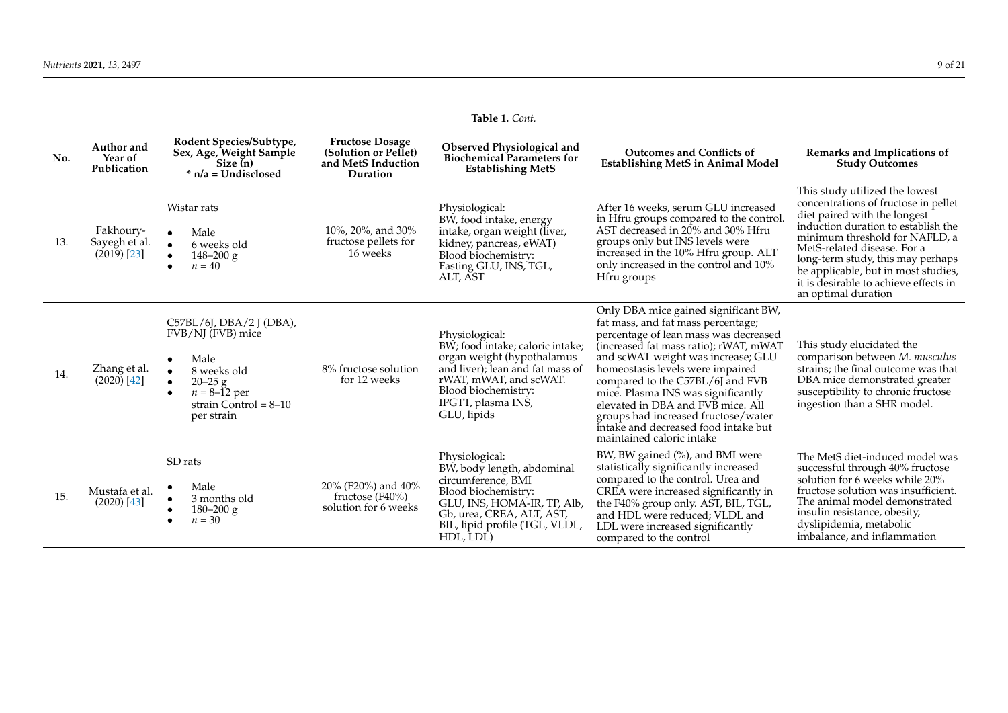|  | Table 1. Cont. |
|--|----------------|
|--|----------------|

| No. | Author and<br>Year of<br>Publication          | Rodent Species/Subtype,<br>Sex, Age, Weight Sample<br>Size $(n)$<br>$*$ n/a = Undisclosed                                                                | <b>Fructose Dosage</b><br>(Solution or Pellet)<br>and MetS Induction<br>Duration | Observed Physiological and<br><b>Biochemical Parameters for</b><br><b>Establishing MetS</b>                                                                                                                | <b>Outcomes and Conflicts of</b><br><b>Establishing MetS in Animal Model</b>                                                                                                                                                                                                                                                                                                                                                                                       | Remarks and Implications of<br><b>Study Outcomes</b>                                                                                                                                                                                                                                                                                                       |
|-----|-----------------------------------------------|----------------------------------------------------------------------------------------------------------------------------------------------------------|----------------------------------------------------------------------------------|------------------------------------------------------------------------------------------------------------------------------------------------------------------------------------------------------------|--------------------------------------------------------------------------------------------------------------------------------------------------------------------------------------------------------------------------------------------------------------------------------------------------------------------------------------------------------------------------------------------------------------------------------------------------------------------|------------------------------------------------------------------------------------------------------------------------------------------------------------------------------------------------------------------------------------------------------------------------------------------------------------------------------------------------------------|
| 13. | Fakhoury-<br>Sayegh et al.<br>$(2019)$ $[23]$ | Wistar rats<br>Male<br>6 weeks old<br>$148 - 200$ g<br>$n = 40$                                                                                          | 10%, 20%, and 30%<br>fructose pellets for<br>16 weeks                            | Physiological:<br>BW, food intake, energy<br>intake, organ weight (liver,<br>kidney, pancreas, eWAT)<br>Blood biochemistry:<br>Fasting GLU, INS, TGL,<br>ALT, AST                                          | After 16 weeks, serum GLU increased<br>in Hfru groups compared to the control.<br>AST decreased in 20% and 30% Hfru<br>groups only but INS levels were<br>increased in the 10% Hfru group. ALT<br>only increased in the control and 10%<br>Hfru groups                                                                                                                                                                                                             | This study utilized the lowest<br>concentrations of fructose in pellet<br>diet paired with the longest<br>induction duration to establish the<br>minimum threshold for NAFLD, a<br>MetS-related disease. For a<br>long-term study, this may perhaps<br>be applicable, but in most studies,<br>it is desirable to achieve effects in<br>an optimal duration |
| 14. | Zhang et al.<br>$(2020)$ [42]                 | $C57BL/6J$ , DBA/2 J (DBA),<br>FVB/NJ (FVB) mice<br>Male<br>8 weeks old<br>$20 - 25g$<br>$n = 8-\tilde{1}2$ per<br>strain Control = $8-10$<br>per strain | 8% fructose solution<br>for 12 weeks                                             | Physiological:<br>BW; food intake; caloric intake;<br>organ weight (hypothalamus<br>and liver); lean and fat mass of<br>rWAT, mWAT, and scWAT.<br>Blood biochemistry:<br>IPGTT, plasma INS,<br>GLU, lipids | Only DBA mice gained significant BW,<br>fat mass, and fat mass percentage;<br>percentage of lean mass was decreased<br>(increased fat mass ratio); rWAT, mWAT<br>and scWAT weight was increase; GLU<br>homeostasis levels were impaired<br>compared to the C57BL/6J and FVB<br>mice. Plasma INS was significantly<br>elevated in DBA and FVB mice. All<br>groups had increased fructose/water<br>intake and decreased food intake but<br>maintained caloric intake | This study elucidated the<br>comparison between M. musculus<br>strains; the final outcome was that<br>DBA mice demonstrated greater<br>susceptibility to chronic fructose<br>ingestion than a SHR model.                                                                                                                                                   |
| 15. | Mustafa et al.<br>$(2020)$ [43]               | SD rats<br>Male<br>3 months old<br>$180 - 200$ g<br>$n = 30$                                                                                             | 20% (F20%) and 40%<br>fructose (F40%)<br>solution for 6 weeks                    | Physiological:<br>BW, body length, abdominal<br>circumference, BMI<br>Blood biochemistry:<br>GLU, INS, HOMA-IR, TP, Alb,<br>Gb, urea, CREA, ALT, AST,<br>BIL, lipid profile (TGL, VLDL,<br>HDL, LDL)       | BW, BW gained (%), and BMI were<br>statistically significantly increased<br>compared to the control. Urea and<br>CREA were increased significantly in<br>the F40% group only. AST, BIL, TGL,<br>and HDL were reduced; VLDL and<br>LDL were increased significantly<br>compared to the control                                                                                                                                                                      | The MetS diet-induced model was<br>successful through 40% fructose<br>solution for 6 weeks while 20%<br>fructose solution was insufficient.<br>The animal model demonstrated<br>insulin resistance, obesity,<br>dyslipidemia, metabolic<br>imbalance, and inflammation                                                                                     |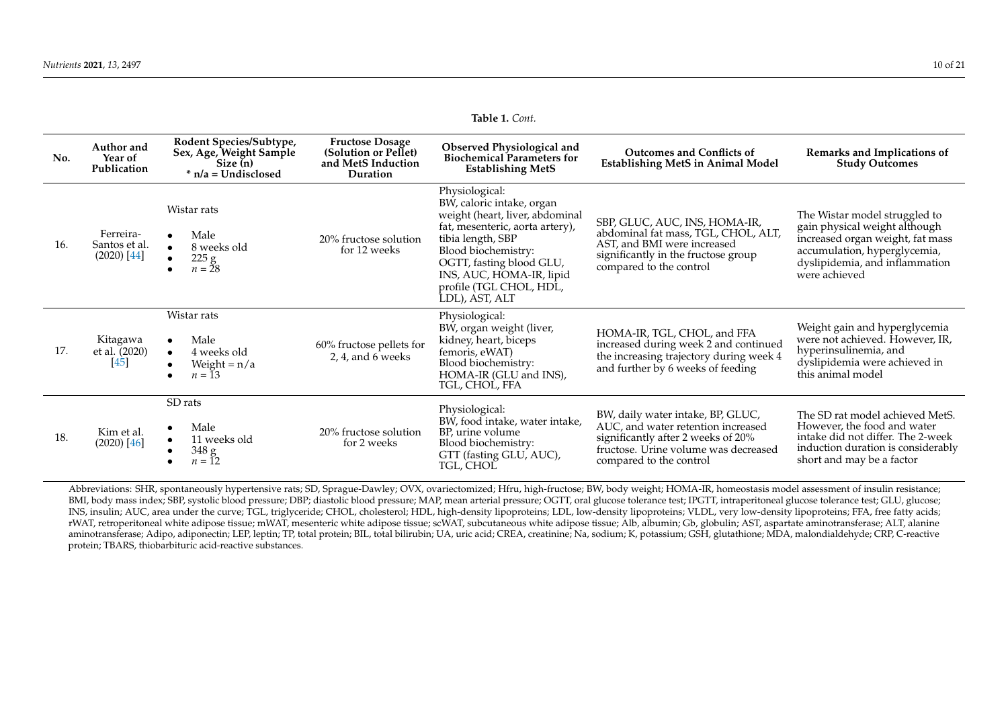**Table 1.** *Cont.*

| No. | Author and<br>Year of<br>Publication        | Rodent Species/Subtype,<br>Sex, Age, Weight Sample<br>Size (n)<br>$*$ n/a = Undisclosed | <b>Fructose Dosage</b><br>(Solution or Pellet)<br>and MetS Induction<br>Duration | Observed Physiological and<br><b>Biochemical Parameters for</b><br><b>Establishing MetS</b>                                                                                                                                                                        | <b>Outcomes and Conflicts of</b><br><b>Establishing MetS in Animal Model</b>                                                                                                     | Remarks and Implications of<br><b>Study Outcomes</b>                                                                                                                                  |
|-----|---------------------------------------------|-----------------------------------------------------------------------------------------|----------------------------------------------------------------------------------|--------------------------------------------------------------------------------------------------------------------------------------------------------------------------------------------------------------------------------------------------------------------|----------------------------------------------------------------------------------------------------------------------------------------------------------------------------------|---------------------------------------------------------------------------------------------------------------------------------------------------------------------------------------|
| 16. | Ferreira-<br>Santos et al.<br>$(2020)$ [44] | Wistar rats<br>Male<br>8 weeks old<br>225 g<br>$n = 28$                                 | 20% fructose solution<br>for 12 weeks                                            | Physiological:<br>BW, caloric intake, organ<br>weight (heart, liver, abdominal<br>fat, mesenteric, aorta artery),<br>tibia length, SBP<br>Blood biochemistry:<br>OGTT, fasting blood GLU,<br>INS, AUC, HOMA-IR, lipid<br>profile (TGL CHOL, HDL,<br>LDL), AST, ALT | SBP, GLUC, AUC, INS, HOMA-IR,<br>abdominal fat mass, TGL, CHOL, ALT,<br>AST, and BMI were increased<br>significantly in the fructose group<br>compared to the control            | The Wistar model struggled to<br>gain physical weight although<br>increased organ weight, fat mass<br>accumulation, hyperglycemia,<br>dyslipidemia, and inflammation<br>were achieved |
| 17. | Kitagawa<br>et al. (2020)<br> 45            | Wistar rats<br>Male<br>4 weeks old<br>Weight = $n/a$<br>$n=13$                          | 60% fructose pellets for<br>2, 4, and $6$ weeks                                  | Physiological:<br>BW, organ weight (liver,<br>kidney, heart, biceps<br>femoris, eWAT)<br>Blood biochemistry:<br>HOMA-IR (GLU and INS),<br>TGL, CHOL, FFA                                                                                                           | HOMA-IR, TGL, CHOL, and FFA<br>increased during week 2 and continued<br>the increasing trajectory during week 4<br>and further by 6 weeks of feeding                             | Weight gain and hyperglycemia<br>were not achieved. However, IR,<br>hyperinsulinemia, and<br>dyslipidemia were achieved in<br>this animal model                                       |
| 18. | Kim et al.<br>(2020) [46]                   | SD rats<br>Male<br>11 weeks old<br>348 g<br>$n=12$                                      | 20% fructose solution<br>for 2 weeks                                             | Physiological:<br>BW, food intake, water intake,<br>BP, urine volume<br>Blood biochemistry:<br>GTT (fasting GLU, AUC),<br>TGL, CHOL                                                                                                                                | BW, daily water intake, BP, GLUC,<br>AUC, and water retention increased<br>significantly after 2 weeks of 20%<br>fructose. Urine volume was decreased<br>compared to the control | The SD rat model achieved MetS.<br>However, the food and water<br>intake did not differ. The 2-week<br>induction duration is considerably<br>short and may be a factor                |

Abbreviations: SHR, spontaneously hypertensive rats; SD, Sprague-Dawley; OVX, ovariectomized; Hfru, high-fructose; BW, body weight; HOMA-IR, homeostasis model assessment of insulin resistance; BMI, body mass index; SBP, systolic blood pressure; DBP; diastolic blood pressure; MAP, mean arterial pressure; OGTT, oral glucose tolerance test; IPGTT, intraperitoneal glucose tolerance test; GLU, glucose; INS, insulin; AUC, area under the curve; TGL, triglyceride; CHOL, cholesterol; HDL, high-density lipoproteins; LDL, low-density lipoproteins; VLDL, very low-density lipoproteins; FFA, free fatty acids; rWAT, retroperitoneal white adipose tissue; mWAT, mesenteric white adipose tissue; scWAT, subcutaneous white adipose tissue; Alb, albumin; Gb, globulin; AST, aspartate aminotransferase; ALT, alanine aminotransferase; Adipo, adiponectin; LEP, leptin; TP, total protein; BIL, total bilirubin; UA, uric acid; CREA, creatinine; Na, sodium; K, potassium; GSH, glutathione; MDA, malondialdehyde; CRP, C-reactive protein; TBARS, thiobarbituric acid-reactive substances.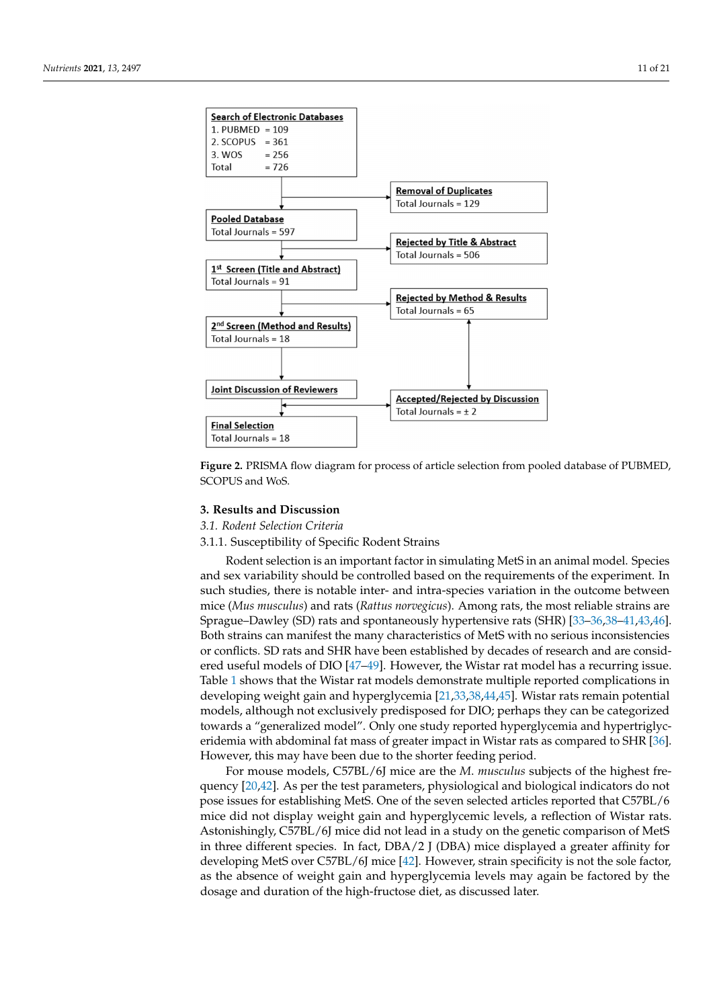<span id="page-10-0"></span>

**Figure 2.** PRISMA flow diagram for process of article selection from pooled database of PUBMED, **Figure 2.** PRISMA flow diagram for process of article selection from pooled database of PUBMED, SCOPUS and WoS. SCOPUS and WoS.

## **3. Results and Discussion 3. Results and Discussion**

## *3.1. Rodent Selection Criteria 3.1. Rodent Selection Criteria*

3.1.1. Susceptibility of Specific Rodent Strains 3.1.1. Susceptibility of Specific Rodent Strains

Rodent selection is an important factor in simulating MetS in an animal model. Species cies and sex variability should be controlled based on the requirements of the experiment. and sex variability should be controlled based on the requirements of the experiment. In such studies, there is notable inter- and intra-species variation in the outcome between mice (*Mus musculus*) and rats (*Rattus norvegicus*). Among rats, the most reliable strains are Sprague–Dawley (SD) rats and spontaneously hypertensive rats (SHR) [33–36,38– Sprague–Dawley (SD) rats and spontaneously hypertensive rats (SHR) [\[33](#page-19-26)[–36,](#page-19-27)[38–](#page-19-28)[41](#page-19-29)[,43](#page-19-30)[,46\]](#page-20-3). Both strains can manifest the many characteristics of MetS with no serious inconsistencies  $\frac{d}{dx}$ or conflicts. SD rats and SHR have been established by decades of research and are consid-ered useful models of DIO [\[47–](#page-20-4)[49\]](#page-20-5). However, the Wistar rat model has a recurring issue.<br>This does not with the Wiston and the Wiston with the Wiston with the Wiston with the Wiston with the Wiston w recurring is shows that the Wistar rat models demonstrate multiple reported complications in developing weight gain and hyperglycemia [\[21,](#page-19-31)[33,](#page-19-26)[38,](#page-19-28)[44,](#page-20-6)[45\]](#page-20-7). Wistar rats remain potential<br>weight although gat weight remains and hyperglycemia [21,33,38,44,45]. Wistar rats remain potential models, although not exclusively predisposed for DIO; perhaps they can be categorized towards a "generalized model". Only one study reported hyperglycemia and hypertriglycbe categorized towards a "generalized model". Only one study reported hyperglycemia eridemia with abdominal fat mass of greater impact in Wistar rats as compared to SHR [\[36\]](#page-19-27). end that with abdominate fat mass of greater impact in Wistar rats as compared to strict pop.<br>However, this may have been due to the shorter feeding period. Table [1](#page-5-0) shows that the Wistar rat models demonstrate multiple reported complications in models, although not exclusively predisposed for DIO; perhaps they can be categorized

For mouse models, C57BL/6J mice are the *M*. *musculus* subjects of the highest fre-quency [\[20,](#page-19-2)[42\]](#page-19-32). As per the test parameters, physiological and biological indicators do not pose issues for establishing MetS. One of the seven selected articles reported that C57BL/6 mice did not display weight gain and hyperglycemic levels, a reflection of Wistar rats. Astonishingly, C57BL/6J mice did not lead in a study on the genetic comparison of MetS in three different species. In fact,  $DBA/2$  J ( $DBA$ ) mice displayed a greater affinity for developing MetS over C57BL/6J mice [\[42\]](#page-19-32). However, strain specificity is not the sole factor, as the absence of weight gain and hyperglycemia levels may again be factored by the dosage and duration of the high-fructose diet, as discussed later.  $\alpha$  and duration of the high-fructose diet, as discussed later.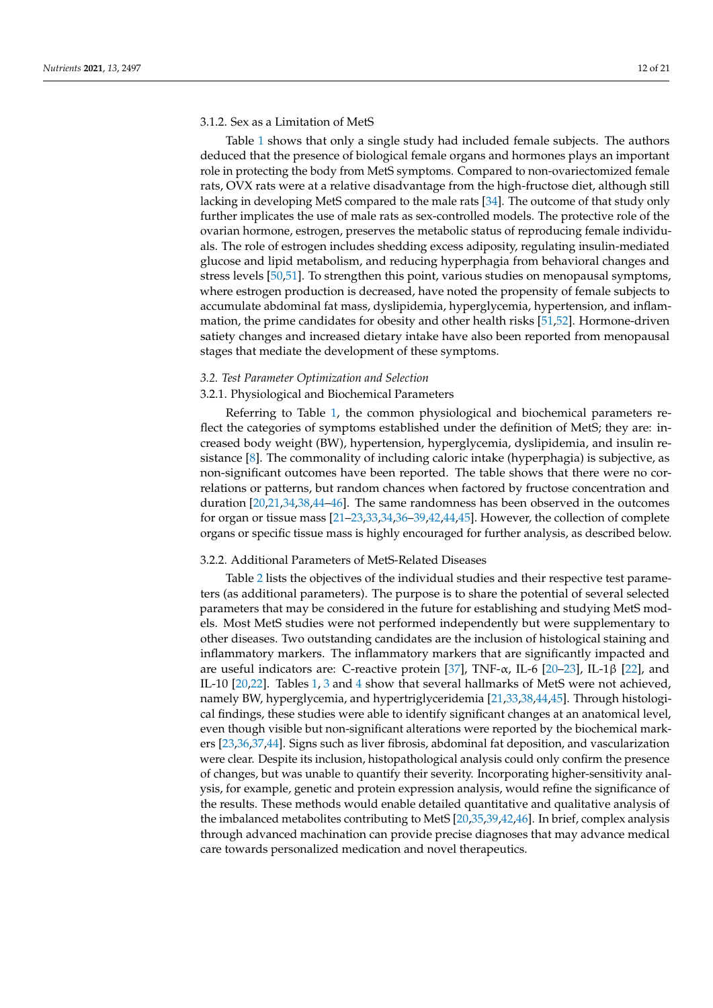## 3.1.2. Sex as a Limitation of MetS

Table [1](#page-5-0) shows that only a single study had included female subjects. The authors deduced that the presence of biological female organs and hormones plays an important role in protecting the body from MetS symptoms. Compared to non-ovariectomized female rats, OVX rats were at a relative disadvantage from the high-fructose diet, although still lacking in developing MetS compared to the male rats [\[34\]](#page-19-33). The outcome of that study only further implicates the use of male rats as sex-controlled models. The protective role of the ovarian hormone, estrogen, preserves the metabolic status of reproducing female individuals. The role of estrogen includes shedding excess adiposity, regulating insulin-mediated glucose and lipid metabolism, and reducing hyperphagia from behavioral changes and stress levels [\[50,](#page-20-8)[51\]](#page-20-9). To strengthen this point, various studies on menopausal symptoms, where estrogen production is decreased, have noted the propensity of female subjects to accumulate abdominal fat mass, dyslipidemia, hyperglycemia, hypertension, and inflammation, the prime candidates for obesity and other health risks [\[51,](#page-20-9)[52\]](#page-20-10). Hormone-driven satiety changes and increased dietary intake have also been reported from menopausal stages that mediate the development of these symptoms.

#### *3.2. Test Parameter Optimization and Selection*

#### 3.2.1. Physiological and Biochemical Parameters

Referring to Table [1,](#page-5-0) the common physiological and biochemical parameters reflect the categories of symptoms established under the definition of MetS; they are: increased body weight (BW), hypertension, hyperglycemia, dyslipidemia, and insulin resistance [\[8\]](#page-18-7). The commonality of including caloric intake (hyperphagia) is subjective, as non-significant outcomes have been reported. The table shows that there were no correlations or patterns, but random chances when factored by fructose concentration and duration [\[20](#page-19-2)[,21](#page-19-31)[,34](#page-19-33)[,38](#page-19-28)[,44](#page-20-6)[–46\]](#page-20-3). The same randomness has been observed in the outcomes for organ or tissue mass [\[21](#page-19-31)[–23,](#page-19-3)[33,](#page-19-26)[34,](#page-19-33)[36–](#page-19-27)[39](#page-19-34)[,42](#page-19-32)[,44](#page-20-6)[,45\]](#page-20-7). However, the collection of complete organs or specific tissue mass is highly encouraged for further analysis, as described below.

#### 3.2.2. Additional Parameters of MetS-Related Diseases

Table [2](#page-12-0) lists the objectives of the individual studies and their respective test parameters (as additional parameters). The purpose is to share the potential of several selected parameters that may be considered in the future for establishing and studying MetS models. Most MetS studies were not performed independently but were supplementary to other diseases. Two outstanding candidates are the inclusion of histological staining and inflammatory markers. The inflammatory markers that are significantly impacted and are useful indicators are: C-reactive protein [\[37\]](#page-19-35), TNF- $\alpha$ , IL-6 [\[20–](#page-19-2)[23\]](#page-19-3), IL-1 $\beta$  [\[22\]](#page-19-36), and IL-10 [\[20](#page-19-2)[,22\]](#page-19-36). Tables [1,](#page-5-0) [3](#page-16-0) and [4](#page-16-1) show that several hallmarks of MetS were not achieved, namely BW, hyperglycemia, and hypertriglyceridemia [\[21](#page-19-31)[,33,](#page-19-26)[38,](#page-19-28)[44,](#page-20-6)[45\]](#page-20-7). Through histological findings, these studies were able to identify significant changes at an anatomical level, even though visible but non-significant alterations were reported by the biochemical markers [\[23,](#page-19-3)[36,](#page-19-27)[37](#page-19-35)[,44\]](#page-20-6). Signs such as liver fibrosis, abdominal fat deposition, and vascularization were clear. Despite its inclusion, histopathological analysis could only confirm the presence of changes, but was unable to quantify their severity. Incorporating higher-sensitivity analysis, for example, genetic and protein expression analysis, would refine the significance of the results. These methods would enable detailed quantitative and qualitative analysis of the imbalanced metabolites contributing to MetS [\[20](#page-19-2)[,35](#page-19-37)[,39,](#page-19-34)[42,](#page-19-32)[46\]](#page-20-3). In brief, complex analysis through advanced machination can provide precise diagnoses that may advance medical care towards personalized medication and novel therapeutics.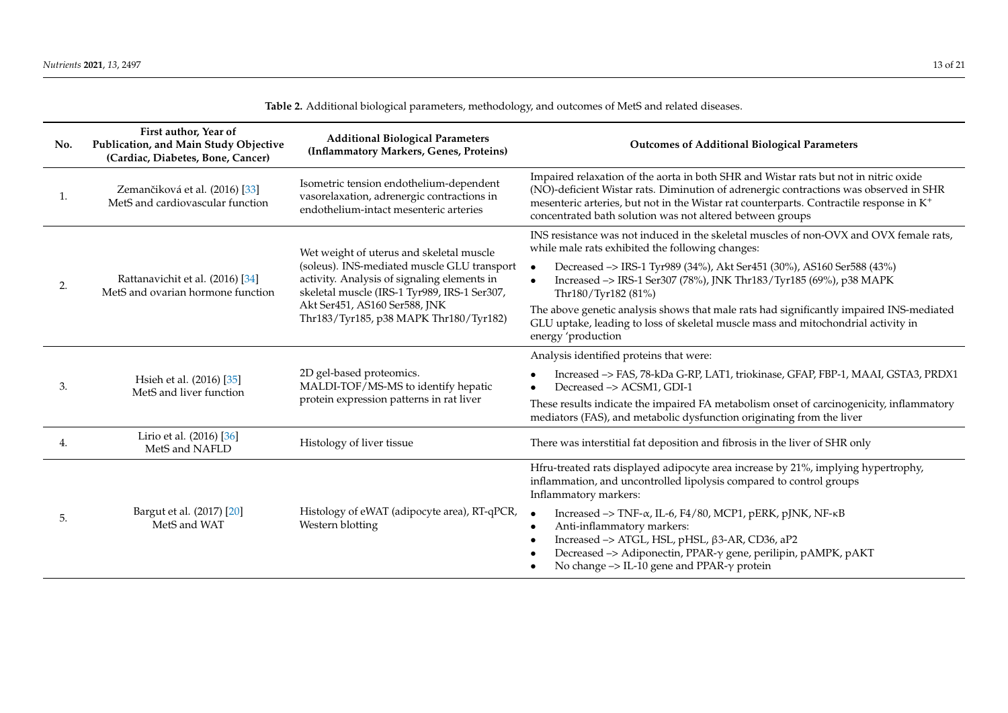<span id="page-12-0"></span>

| No. | First author, Year of<br>Publication, and Main Study Objective<br>(Cardiac, Diabetes, Bone, Cancer) | <b>Additional Biological Parameters</b><br>(Inflammatory Markers, Genes, Proteins)                                                         | <b>Outcomes of Additional Biological Parameters</b>                                                                                                                                                                                                                                                                                                            |
|-----|-----------------------------------------------------------------------------------------------------|--------------------------------------------------------------------------------------------------------------------------------------------|----------------------------------------------------------------------------------------------------------------------------------------------------------------------------------------------------------------------------------------------------------------------------------------------------------------------------------------------------------------|
| 1.  | Zemančiková et al. (2016) [33]<br>MetS and cardiovascular function                                  | Isometric tension endothelium-dependent<br>vasorelaxation, adrenergic contractions in<br>endothelium-intact mesenteric arteries            | Impaired relaxation of the aorta in both SHR and Wistar rats but not in nitric oxide<br>(NO)-deficient Wistar rats. Diminution of adrenergic contractions was observed in SHR<br>mesenteric arteries, but not in the Wistar rat counterparts. Contractile response in K <sup>+</sup><br>concentrated bath solution was not altered between groups              |
|     |                                                                                                     | Wet weight of uterus and skeletal muscle                                                                                                   | INS resistance was not induced in the skeletal muscles of non-OVX and OVX female rats,<br>while male rats exhibited the following changes:                                                                                                                                                                                                                     |
| 2.  | Rattanavichit et al. (2016) [34]<br>MetS and ovarian hormone function                               | (soleus). INS-mediated muscle GLU transport<br>activity. Analysis of signaling elements in<br>skeletal muscle (IRS-1 Tyr989, IRS-1 Ser307, | Decreased -> IRS-1 Tyr989 (34%), Akt Ser451 (30%), AS160 Ser588 (43%)<br>Increased -> IRS-1 Ser307 (78%), JNK Thr183/Tyr185 (69%), p38 MAPK<br>Thr180/Tyr182 (81%)                                                                                                                                                                                             |
|     |                                                                                                     | Akt Ser451, AS160 Ser588, JNK<br>Thr183/Tyr185, p38 MAPK Thr180/Tyr182)                                                                    | The above genetic analysis shows that male rats had significantly impaired INS-mediated<br>GLU uptake, leading to loss of skeletal muscle mass and mitochondrial activity in<br>energy 'production                                                                                                                                                             |
|     |                                                                                                     |                                                                                                                                            | Analysis identified proteins that were:                                                                                                                                                                                                                                                                                                                        |
| 3.  | Hsieh et al. (2016) [35]<br>MetS and liver function                                                 | 2D gel-based proteomics.<br>MALDI-TOF/MS-MS to identify hepatic<br>protein expression patterns in rat liver                                | Increased -> FAS, 78-kDa G-RP, LAT1, triokinase, GFAP, FBP-1, MAAI, GSTA3, PRDX1<br>Decreased -> ACSM1, GDI-1                                                                                                                                                                                                                                                  |
|     |                                                                                                     |                                                                                                                                            | These results indicate the impaired FA metabolism onset of carcinogenicity, inflammatory<br>mediators (FAS), and metabolic dysfunction originating from the liver                                                                                                                                                                                              |
| 4.  | Lirio et al. (2016) [36]<br>MetS and NAFLD                                                          | Histology of liver tissue                                                                                                                  | There was interstitial fat deposition and fibrosis in the liver of SHR only                                                                                                                                                                                                                                                                                    |
|     |                                                                                                     |                                                                                                                                            | Hfru-treated rats displayed adipocyte area increase by 21%, implying hypertrophy,<br>inflammation, and uncontrolled lipolysis compared to control groups<br>Inflammatory markers:                                                                                                                                                                              |
| 5.  | Bargut et al. (2017) [20]<br>MetS and WAT                                                           | Histology of eWAT (adipocyte area), RT-qPCR,<br>Western blotting                                                                           | Increased $\rightarrow$ TNF- $\alpha$ , IL-6, F4/80, MCP1, pERK, pJNK, NF- $\kappa$ B<br>$\bullet$<br>Anti-inflammatory markers:<br>$\bullet$<br>Increased -> ATGL, HSL, pHSL, $\beta$ 3-AR, CD36, aP2<br>$\epsilon$<br>Decreased -> Adiponectin, PPAR- $\gamma$ gene, perilipin, pAMPK, pAKT<br>No change $\rightarrow$ IL-10 gene and PPAR- $\gamma$ protein |

**Table 2.** Additional biological parameters, methodology, and outcomes of MetS and related diseases.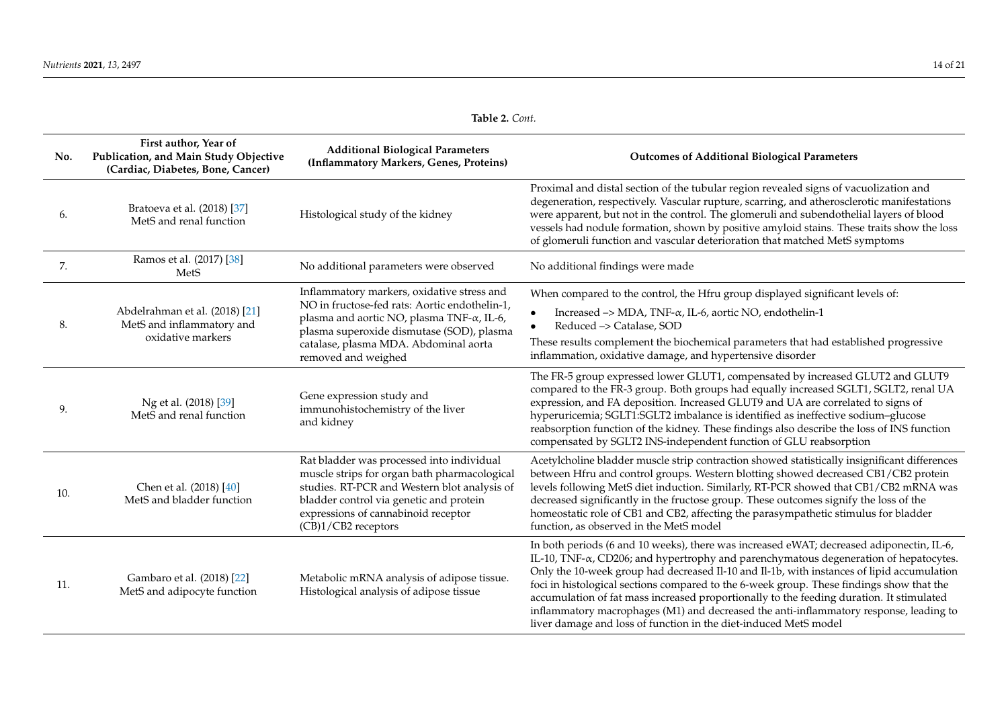| Table 2. Cont. |  |  |
|----------------|--|--|
|----------------|--|--|

| No. | First author, Year of<br>Publication, and Main Study Objective<br>(Cardiac, Diabetes, Bone, Cancer) | <b>Additional Biological Parameters</b><br>(Inflammatory Markers, Genes, Proteins)                                                                                                                                                                             | <b>Outcomes of Additional Biological Parameters</b>                                                                                                                                                                                                                                                                                                                                                                                                                                                                                                                                                                                  |
|-----|-----------------------------------------------------------------------------------------------------|----------------------------------------------------------------------------------------------------------------------------------------------------------------------------------------------------------------------------------------------------------------|--------------------------------------------------------------------------------------------------------------------------------------------------------------------------------------------------------------------------------------------------------------------------------------------------------------------------------------------------------------------------------------------------------------------------------------------------------------------------------------------------------------------------------------------------------------------------------------------------------------------------------------|
| 6.  | Bratoeva et al. (2018) [37]<br>MetS and renal function                                              | Histological study of the kidney                                                                                                                                                                                                                               | Proximal and distal section of the tubular region revealed signs of vacuolization and<br>degeneration, respectively. Vascular rupture, scarring, and atherosclerotic manifestations<br>were apparent, but not in the control. The glomeruli and subendothelial layers of blood<br>vessels had nodule formation, shown by positive amyloid stains. These traits show the loss<br>of glomeruli function and vascular deterioration that matched MetS symptoms                                                                                                                                                                          |
| 7.  | Ramos et al. (2017) [38]<br>MetS                                                                    | No additional parameters were observed                                                                                                                                                                                                                         | No additional findings were made                                                                                                                                                                                                                                                                                                                                                                                                                                                                                                                                                                                                     |
| 8.  | Abdelrahman et al. (2018) [21]<br>MetS and inflammatory and<br>oxidative markers                    | Inflammatory markers, oxidative stress and<br>NO in fructose-fed rats: Aortic endothelin-1,<br>plasma and aortic NO, plasma TNF- $\alpha$ , IL-6,<br>plasma superoxide dismutase (SOD), plasma<br>catalase, plasma MDA. Abdominal aorta<br>removed and weighed | When compared to the control, the Hfru group displayed significant levels of:<br>Increased $\rightarrow$ MDA, TNF- $\alpha$ , IL-6, aortic NO, endothelin-1<br>Reduced -> Catalase, SOD<br>These results complement the biochemical parameters that had established progressive<br>inflammation, oxidative damage, and hypertensive disorder                                                                                                                                                                                                                                                                                         |
| 9.  | Ng et al. (2018) [39]<br>MetS and renal function                                                    | Gene expression study and<br>immunohistochemistry of the liver<br>and kidney                                                                                                                                                                                   | The FR-5 group expressed lower GLUT1, compensated by increased GLUT2 and GLUT9<br>compared to the FR-3 group. Both groups had equally increased SGLT1, SGLT2, renal UA<br>expression, and FA deposition. Increased GLUT9 and UA are correlated to signs of<br>hyperuricemia; SGLT1:SGLT2 imbalance is identified as ineffective sodium-glucose<br>reabsorption function of the kidney. These findings also describe the loss of INS function<br>compensated by SGLT2 INS-independent function of GLU reabsorption                                                                                                                    |
| 10. | Chen et al. (2018) [40]<br>MetS and bladder function                                                | Rat bladder was processed into individual<br>muscle strips for organ bath pharmacological<br>studies. RT-PCR and Western blot analysis of<br>bladder control via genetic and protein<br>expressions of cannabinoid receptor<br>(CB)1/CB2 receptors             | Acetylcholine bladder muscle strip contraction showed statistically insignificant differences<br>between Hfru and control groups. Western blotting showed decreased CB1/CB2 protein<br>levels following MetS diet induction. Similarly, RT-PCR showed that CB1/CB2 mRNA was<br>decreased significantly in the fructose group. These outcomes signify the loss of the<br>homeostatic role of CB1 and CB2, affecting the parasympathetic stimulus for bladder<br>function, as observed in the MetS model                                                                                                                               |
| 11. | Gambaro et al. (2018) [22]<br>MetS and adipocyte function                                           | Metabolic mRNA analysis of adipose tissue.<br>Histological analysis of adipose tissue                                                                                                                                                                          | In both periods (6 and 10 weeks), there was increased eWAT; decreased adiponectin, IL-6,<br>IL-10, TNF-a, CD206; and hypertrophy and parenchymatous degeneration of hepatocytes.<br>Only the 10-week group had decreased Il-10 and Il-1b, with instances of lipid accumulation<br>foci in histological sections compared to the 6-week group. These findings show that the<br>accumulation of fat mass increased proportionally to the feeding duration. It stimulated<br>inflammatory macrophages (M1) and decreased the anti-inflammatory response, leading to<br>liver damage and loss of function in the diet-induced MetS model |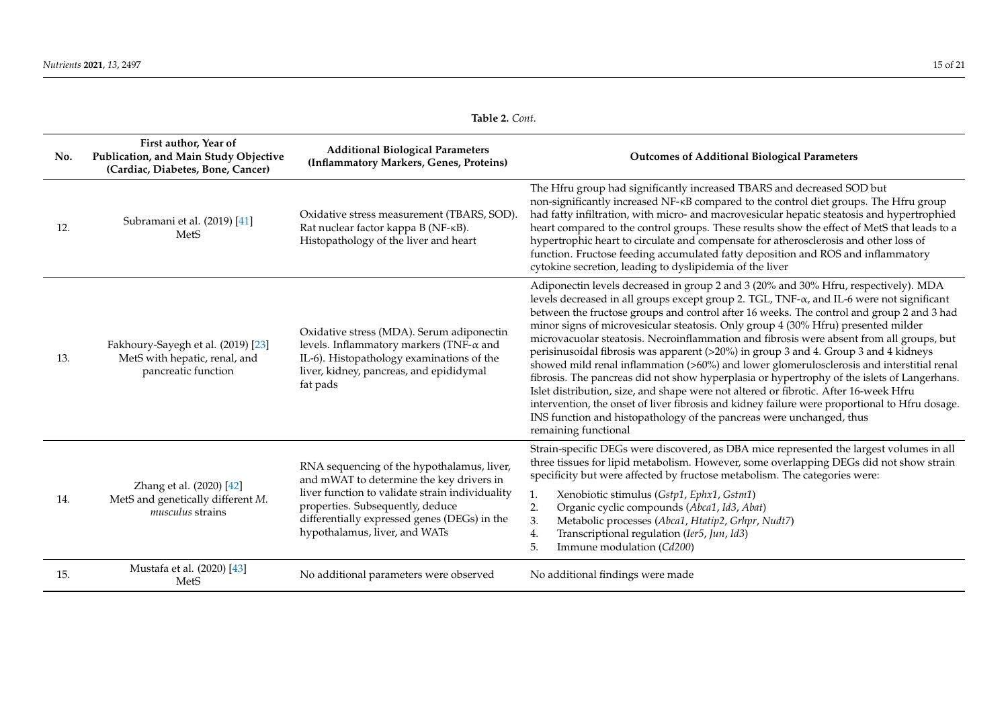| <b>Table 2.</b> Cont. |  |
|-----------------------|--|
|-----------------------|--|

| No. | First author, Year of<br>Publication, and Main Study Objective<br>(Cardiac, Diabetes, Bone, Cancer) | <b>Additional Biological Parameters</b><br>(Inflammatory Markers, Genes, Proteins)                                                                                                                                                                             | <b>Outcomes of Additional Biological Parameters</b>                                                                                                                                                                                                                                                                                                                                                                                                                                                                                                                                                                                                                                                                                                                                                                                                                                                                                                                                                                                        |  |
|-----|-----------------------------------------------------------------------------------------------------|----------------------------------------------------------------------------------------------------------------------------------------------------------------------------------------------------------------------------------------------------------------|--------------------------------------------------------------------------------------------------------------------------------------------------------------------------------------------------------------------------------------------------------------------------------------------------------------------------------------------------------------------------------------------------------------------------------------------------------------------------------------------------------------------------------------------------------------------------------------------------------------------------------------------------------------------------------------------------------------------------------------------------------------------------------------------------------------------------------------------------------------------------------------------------------------------------------------------------------------------------------------------------------------------------------------------|--|
| 12. | Subramani et al. (2019) [41]<br>MetS                                                                | Oxidative stress measurement (TBARS, SOD).<br>Rat nuclear factor kappa B (NF-KB).<br>Histopathology of the liver and heart                                                                                                                                     | The Hfru group had significantly increased TBARS and decreased SOD but<br>non-significantly increased NF-KB compared to the control diet groups. The Hfru group<br>had fatty infiltration, with micro- and macrovesicular hepatic steatosis and hypertrophied<br>heart compared to the control groups. These results show the effect of MetS that leads to a<br>hypertrophic heart to circulate and compensate for atherosclerosis and other loss of<br>function. Fructose feeding accumulated fatty deposition and ROS and inflammatory<br>cytokine secretion, leading to dyslipidemia of the liver                                                                                                                                                                                                                                                                                                                                                                                                                                       |  |
| 13. | Fakhoury-Sayegh et al. (2019) [23]<br>MetS with hepatic, renal, and<br>pancreatic function          | Oxidative stress (MDA). Serum adiponectin<br>levels. Inflammatory markers (TNF- $\alpha$ and<br>IL-6). Histopathology examinations of the<br>liver, kidney, pancreas, and epididymal<br>fat pads                                                               | Adiponectin levels decreased in group 2 and 3 (20% and 30% Hfru, respectively). MDA<br>levels decreased in all groups except group 2. TGL, TNF-α, and IL-6 were not significant<br>between the fructose groups and control after 16 weeks. The control and group 2 and 3 had<br>minor signs of microvesicular steatosis. Only group 4 (30% Hfru) presented milder<br>microvacuolar steatosis. Necroinflammation and fibrosis were absent from all groups, but<br>perisinusoidal fibrosis was apparent (>20%) in group 3 and 4. Group 3 and 4 kidneys<br>showed mild renal inflammation (>60%) and lower glomerulosclerosis and interstitial renal<br>fibrosis. The pancreas did not show hyperplasia or hypertrophy of the islets of Langerhans.<br>Islet distribution, size, and shape were not altered or fibrotic. After 16-week Hfru<br>intervention, the onset of liver fibrosis and kidney failure were proportional to Hfru dosage.<br>INS function and histopathology of the pancreas were unchanged, thus<br>remaining functional |  |
| 14. | Zhang et al. (2020) [42]<br>MetS and genetically different M.<br><i>musculus</i> strains            | RNA sequencing of the hypothalamus, liver,<br>and mWAT to determine the key drivers in<br>liver function to validate strain individuality<br>properties. Subsequently, deduce<br>differentially expressed genes (DEGs) in the<br>hypothalamus, liver, and WATs | Strain-specific DEGs were discovered, as DBA mice represented the largest volumes in all<br>three tissues for lipid metabolism. However, some overlapping DEGs did not show strain<br>specificity but were affected by fructose metabolism. The categories were:<br>Xenobiotic stimulus (Gstp1, Ephx1, Gstm1)<br>2.<br>Organic cyclic compounds (Abca1, Id3, Abat)<br>3.<br>Metabolic processes (Abca1, Htatip2, Grhpr, Nudt7)<br>Transcriptional regulation (Ier5, Jun, Id3)<br>4.<br>Immune modulation (Cd200)<br>5.                                                                                                                                                                                                                                                                                                                                                                                                                                                                                                                     |  |
| 15. | Mustafa et al. (2020) [43]<br>MetS                                                                  | No additional parameters were observed                                                                                                                                                                                                                         | No additional findings were made                                                                                                                                                                                                                                                                                                                                                                                                                                                                                                                                                                                                                                                                                                                                                                                                                                                                                                                                                                                                           |  |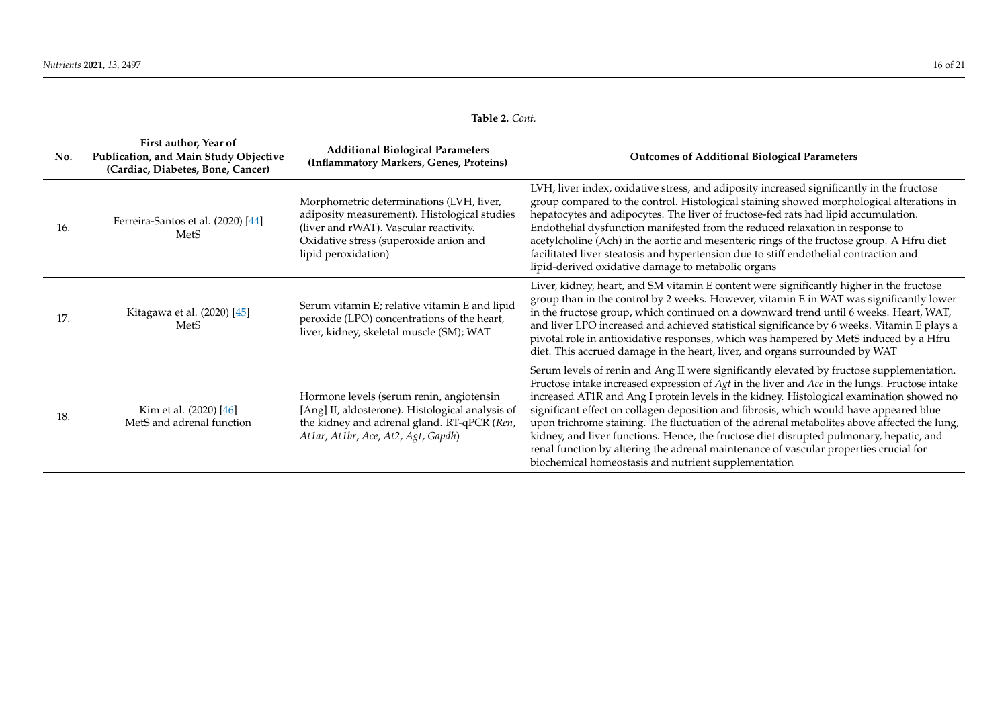| Table 2. Cont. |  |  |
|----------------|--|--|
|----------------|--|--|

| No. | First author, Year of<br>Publication, and Main Study Objective<br>(Cardiac, Diabetes, Bone, Cancer) | <b>Additional Biological Parameters</b><br>(Inflammatory Markers, Genes, Proteins)                                                                                                                  | <b>Outcomes of Additional Biological Parameters</b>                                                                                                                                                                                                                                                                                                                                                                                                                                                                                                                                                                                                                                                                                |
|-----|-----------------------------------------------------------------------------------------------------|-----------------------------------------------------------------------------------------------------------------------------------------------------------------------------------------------------|------------------------------------------------------------------------------------------------------------------------------------------------------------------------------------------------------------------------------------------------------------------------------------------------------------------------------------------------------------------------------------------------------------------------------------------------------------------------------------------------------------------------------------------------------------------------------------------------------------------------------------------------------------------------------------------------------------------------------------|
| 16. | Ferreira-Santos et al. (2020) [44]<br><b>MetS</b>                                                   | Morphometric determinations (LVH, liver,<br>adiposity measurement). Histological studies<br>(liver and rWAT). Vascular reactivity.<br>Oxidative stress (superoxide anion and<br>lipid peroxidation) | LVH, liver index, oxidative stress, and adiposity increased significantly in the fructose<br>group compared to the control. Histological staining showed morphological alterations in<br>hepatocytes and adipocytes. The liver of fructose-fed rats had lipid accumulation.<br>Endothelial dysfunction manifested from the reduced relaxation in response to<br>acetylcholine (Ach) in the aortic and mesenteric rings of the fructose group. A Hfru diet<br>facilitated liver steatosis and hypertension due to stiff endothelial contraction and<br>lipid-derived oxidative damage to metabolic organs                                                                                                                           |
| 17. | Kitagawa et al. (2020) [45]<br>MetS                                                                 | Serum vitamin E; relative vitamin E and lipid<br>peroxide (LPO) concentrations of the heart,<br>liver, kidney, skeletal muscle (SM); WAT                                                            | Liver, kidney, heart, and SM vitamin E content were significantly higher in the fructose<br>group than in the control by 2 weeks. However, vitamin E in WAT was significantly lower<br>in the fructose group, which continued on a downward trend until 6 weeks. Heart, WAT,<br>and liver LPO increased and achieved statistical significance by 6 weeks. Vitamin E plays a<br>pivotal role in antioxidative responses, which was hampered by MetS induced by a Hfru<br>diet. This accrued damage in the heart, liver, and organs surrounded by WAT                                                                                                                                                                                |
| 18. | Kim et al. (2020) [46]<br>MetS and adrenal function                                                 | Hormone levels (serum renin, angiotensin<br>[Ang] II, aldosterone). Histological analysis of<br>the kidney and adrenal gland. RT-qPCR (Ren,<br>Atlar, Atlbr, Ace, At2, Agt, Gapdh)                  | Serum levels of renin and Ang II were significantly elevated by fructose supplementation.<br>Fructose intake increased expression of $Agt$ in the liver and $Ace$ in the lungs. Fructose intake<br>increased AT1R and Ang I protein levels in the kidney. Histological examination showed no<br>significant effect on collagen deposition and fibrosis, which would have appeared blue<br>upon trichrome staining. The fluctuation of the adrenal metabolites above affected the lung,<br>kidney, and liver functions. Hence, the fructose diet disrupted pulmonary, hepatic, and<br>renal function by altering the adrenal maintenance of vascular properties crucial for<br>biochemical homeostasis and nutrient supplementation |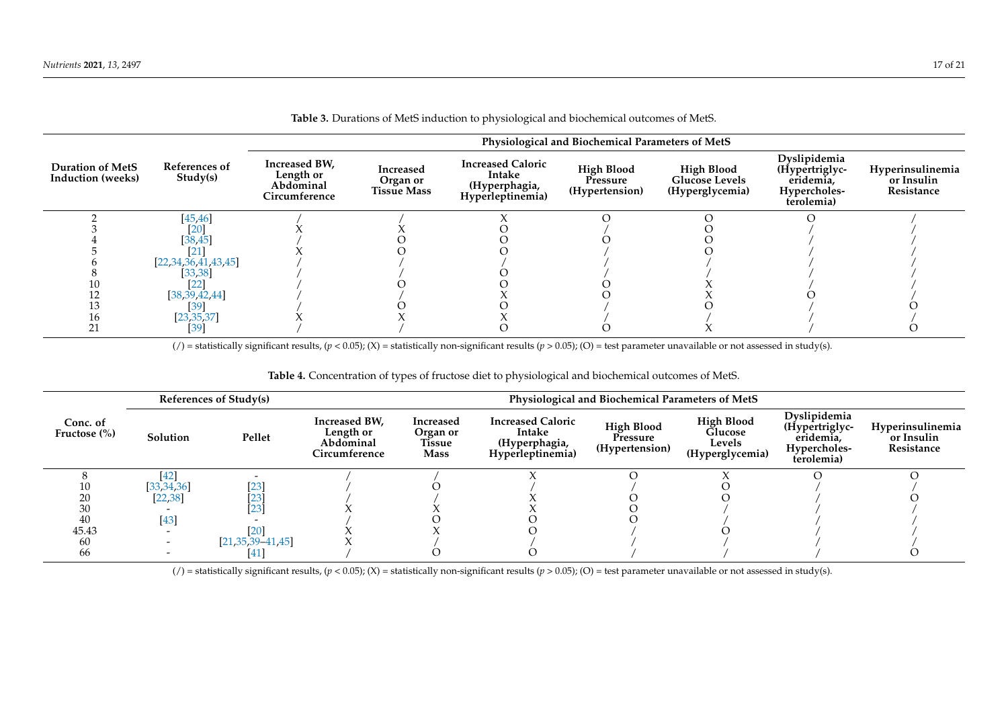| <b>Table 5.</b> Durations of Meto induction to physiological and biochemical outcomes of Meto. |                           |                                                          |                                             |                                                                         |                                                 |                                                               |                                                                           |                                              |  |
|------------------------------------------------------------------------------------------------|---------------------------|----------------------------------------------------------|---------------------------------------------|-------------------------------------------------------------------------|-------------------------------------------------|---------------------------------------------------------------|---------------------------------------------------------------------------|----------------------------------------------|--|
| Physiological and Biochemical Parameters of MetS                                               |                           |                                                          |                                             |                                                                         |                                                 |                                                               |                                                                           |                                              |  |
| <b>Duration of MetS</b><br><b>Induction</b> (weeks)                                            | References of<br>Study(s) | Increased BW,<br>Length or<br>Abdominal<br>Circumference | Increased<br>Organ or<br><b>Tissue Mass</b> | <b>Increased Caloric</b><br>Intake<br>(Hyperphagia,<br>Hyperleptinemia) | <b>High Blood</b><br>Pressure<br>(Hypertension) | <b>High Blood</b><br><b>Glucose Levels</b><br>(Hyperglycemia) | Dyslipidemia<br>(Hypertriglyc-<br>eridemia,<br>Hypercholes-<br>terolemia) | Hyperinsulinemia<br>or Insulin<br>Resistance |  |
|                                                                                                | [45, 46]                  |                                                          |                                             |                                                                         |                                                 |                                                               |                                                                           |                                              |  |
|                                                                                                | [20]                      |                                                          |                                             |                                                                         |                                                 |                                                               |                                                                           |                                              |  |
|                                                                                                | [38, 45]                  |                                                          |                                             |                                                                         |                                                 |                                                               |                                                                           |                                              |  |
|                                                                                                | <b>21</b>                 |                                                          |                                             |                                                                         |                                                 |                                                               |                                                                           |                                              |  |
|                                                                                                | [22, 34, 36, 41, 43, 45]  |                                                          |                                             |                                                                         |                                                 |                                                               |                                                                           |                                              |  |
|                                                                                                | [33, 38]                  |                                                          |                                             |                                                                         |                                                 |                                                               |                                                                           |                                              |  |
|                                                                                                | $[22]$                    |                                                          |                                             |                                                                         |                                                 |                                                               |                                                                           |                                              |  |
|                                                                                                | [38, 39, 42, 44]          |                                                          |                                             |                                                                         |                                                 |                                                               |                                                                           |                                              |  |
|                                                                                                | [39]                      |                                                          |                                             |                                                                         |                                                 |                                                               |                                                                           |                                              |  |
| 16                                                                                             | [23, 35, 37]              |                                                          |                                             |                                                                         |                                                 |                                                               |                                                                           |                                              |  |
|                                                                                                | [39]                      |                                                          |                                             |                                                                         |                                                 |                                                               |                                                                           |                                              |  |

**Table 3.** Durations of MetS induction to physiological and biochemical outcomes of MetS.

( $/$ ) = statistically significant results, ( $p$  < 0.05); (X) = statistically non-significant results ( $p$  > 0.05); (O) = test parameter unavailable or not assessed in study(s).

## **Table 4.** Concentration of types of fructose diet to physiological and biochemical outcomes of MetS.

<span id="page-16-0"></span>

|                              | References of Study(s) |                         | Physiological and Biochemical Parameters of MetS         |                                                |                                                                         |                                                 |                                                           |                                                                           |                                              |  |
|------------------------------|------------------------|-------------------------|----------------------------------------------------------|------------------------------------------------|-------------------------------------------------------------------------|-------------------------------------------------|-----------------------------------------------------------|---------------------------------------------------------------------------|----------------------------------------------|--|
| Conc. of<br>Fructose $(\% )$ | Solution               | Pellet                  | Increased BW,<br>Length or<br>Abdominal<br>Circumference | Increased<br>Organ or<br>Tissue<br><b>Mass</b> | <b>Increased Caloric</b><br>Intake<br>(Hyperphagia,<br>Hyperleptinemia) | <b>High Blood</b><br>Pressure<br>(Hypertension) | <b>High Blood</b><br>Glucose<br>Levels<br>(Hyperglycemia) | Dyslipidemia<br>(Hypertriglyc-<br>eridemia,<br>Hypercholes-<br>terolemia) | Hyperinsulinemia<br>or Insulin<br>Resistance |  |
|                              | 42]                    |                         |                                                          |                                                |                                                                         |                                                 |                                                           |                                                                           |                                              |  |
|                              | [33, 34, 36]           | 20                      |                                                          |                                                |                                                                         |                                                 |                                                           |                                                                           |                                              |  |
| 20                           | [22, 38]               |                         |                                                          |                                                |                                                                         |                                                 |                                                           |                                                                           |                                              |  |
| 30                           |                        | 23                      |                                                          |                                                |                                                                         |                                                 |                                                           |                                                                           |                                              |  |
| 40                           | [43]                   |                         |                                                          |                                                |                                                                         |                                                 |                                                           |                                                                           |                                              |  |
| 45.43                        |                        |                         |                                                          |                                                |                                                                         |                                                 |                                                           |                                                                           |                                              |  |
| 60                           |                        | $[21, 35, 39 - 41, 45]$ |                                                          |                                                |                                                                         |                                                 |                                                           |                                                                           |                                              |  |
| 66                           |                        |                         |                                                          |                                                |                                                                         |                                                 |                                                           |                                                                           |                                              |  |

<span id="page-16-1"></span>(*/*) = statistically significant results,  $(p < 0.05)$ ; (X) = statistically non-significant results  $(p > 0.05)$ ; (O) = test parameter unavailable or not assessed in study(s).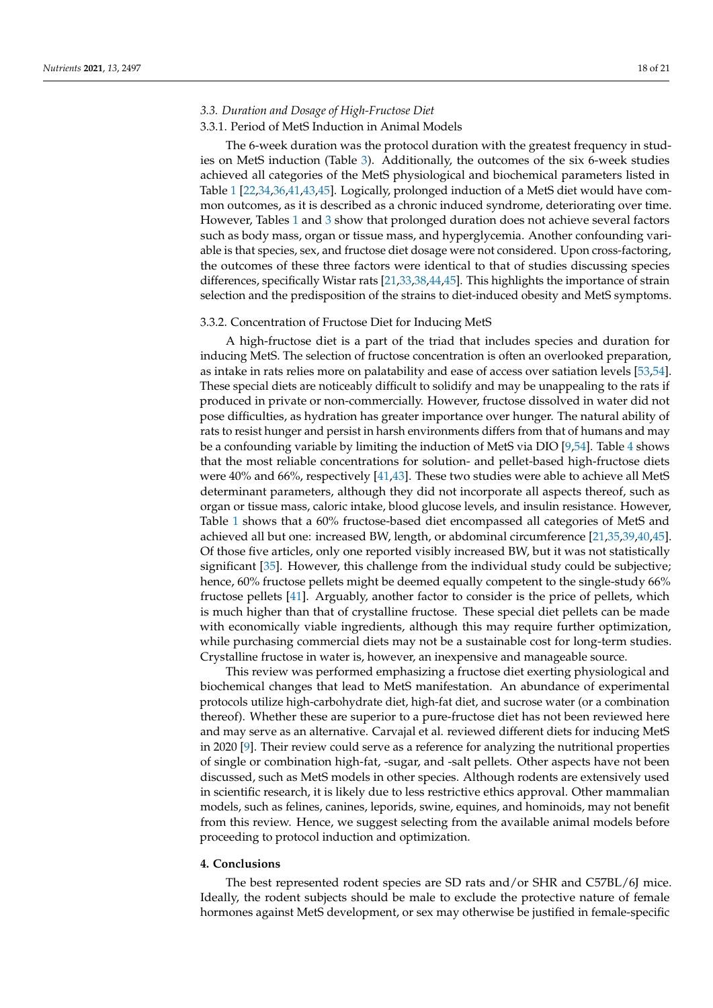## *3.3. Duration and Dosage of High-Fructose Diet*

## 3.3.1. Period of MetS Induction in Animal Models

The 6-week duration was the protocol duration with the greatest frequency in studies on MetS induction (Table [3\)](#page-16-0). Additionally, the outcomes of the six 6-week studies achieved all categories of the MetS physiological and biochemical parameters listed in Table [1](#page-5-0) [\[22](#page-19-36)[,34](#page-19-33)[,36,](#page-19-27)[41](#page-19-29)[,43,](#page-19-30)[45\]](#page-20-7). Logically, prolonged induction of a MetS diet would have common outcomes, as it is described as a chronic induced syndrome, deteriorating over time. However, Tables [1](#page-5-0) and [3](#page-16-0) show that prolonged duration does not achieve several factors such as body mass, organ or tissue mass, and hyperglycemia. Another confounding variable is that species, sex, and fructose diet dosage were not considered. Upon cross-factoring, the outcomes of these three factors were identical to that of studies discussing species differences, specifically Wistar rats [\[21,](#page-19-31)[33,](#page-19-26)[38,](#page-19-28)[44](#page-20-6)[,45\]](#page-20-7). This highlights the importance of strain selection and the predisposition of the strains to diet-induced obesity and MetS symptoms.

## 3.3.2. Concentration of Fructose Diet for Inducing MetS

A high-fructose diet is a part of the triad that includes species and duration for inducing MetS. The selection of fructose concentration is often an overlooked preparation, as intake in rats relies more on palatability and ease of access over satiation levels [\[53,](#page-20-11)[54\]](#page-20-12). These special diets are noticeably difficult to solidify and may be unappealing to the rats if produced in private or non-commercially. However, fructose dissolved in water did not pose difficulties, as hydration has greater importance over hunger. The natural ability of rats to resist hunger and persist in harsh environments differs from that of humans and may be a confounding variable by limiting the induction of MetS via DIO [\[9,](#page-18-8)[54\]](#page-20-12). Table [4](#page-16-1) shows that the most reliable concentrations for solution- and pellet-based high-fructose diets were 40% and 66%, respectively [\[41](#page-19-29)[,43\]](#page-19-30). These two studies were able to achieve all MetS determinant parameters, although they did not incorporate all aspects thereof, such as organ or tissue mass, caloric intake, blood glucose levels, and insulin resistance. However, Table [1](#page-5-0) shows that a 60% fructose-based diet encompassed all categories of MetS and achieved all but one: increased BW, length, or abdominal circumference [\[21,](#page-19-31)[35,](#page-19-37)[39,](#page-19-34)[40,](#page-19-38)[45\]](#page-20-7). Of those five articles, only one reported visibly increased BW, but it was not statistically significant [\[35\]](#page-19-37). However, this challenge from the individual study could be subjective; hence, 60% fructose pellets might be deemed equally competent to the single-study 66% fructose pellets [\[41\]](#page-19-29). Arguably, another factor to consider is the price of pellets, which is much higher than that of crystalline fructose. These special diet pellets can be made with economically viable ingredients, although this may require further optimization, while purchasing commercial diets may not be a sustainable cost for long-term studies. Crystalline fructose in water is, however, an inexpensive and manageable source.

This review was performed emphasizing a fructose diet exerting physiological and biochemical changes that lead to MetS manifestation. An abundance of experimental protocols utilize high-carbohydrate diet, high-fat diet, and sucrose water (or a combination thereof). Whether these are superior to a pure-fructose diet has not been reviewed here and may serve as an alternative. Carvajal et al. reviewed different diets for inducing MetS in 2020 [\[9\]](#page-18-8). Their review could serve as a reference for analyzing the nutritional properties of single or combination high-fat, -sugar, and -salt pellets. Other aspects have not been discussed, such as MetS models in other species. Although rodents are extensively used in scientific research, it is likely due to less restrictive ethics approval. Other mammalian models, such as felines, canines, leporids, swine, equines, and hominoids, may not benefit from this review. Hence, we suggest selecting from the available animal models before proceeding to protocol induction and optimization.

## **4. Conclusions**

The best represented rodent species are SD rats and/or SHR and C57BL/6J mice. Ideally, the rodent subjects should be male to exclude the protective nature of female hormones against MetS development, or sex may otherwise be justified in female-specific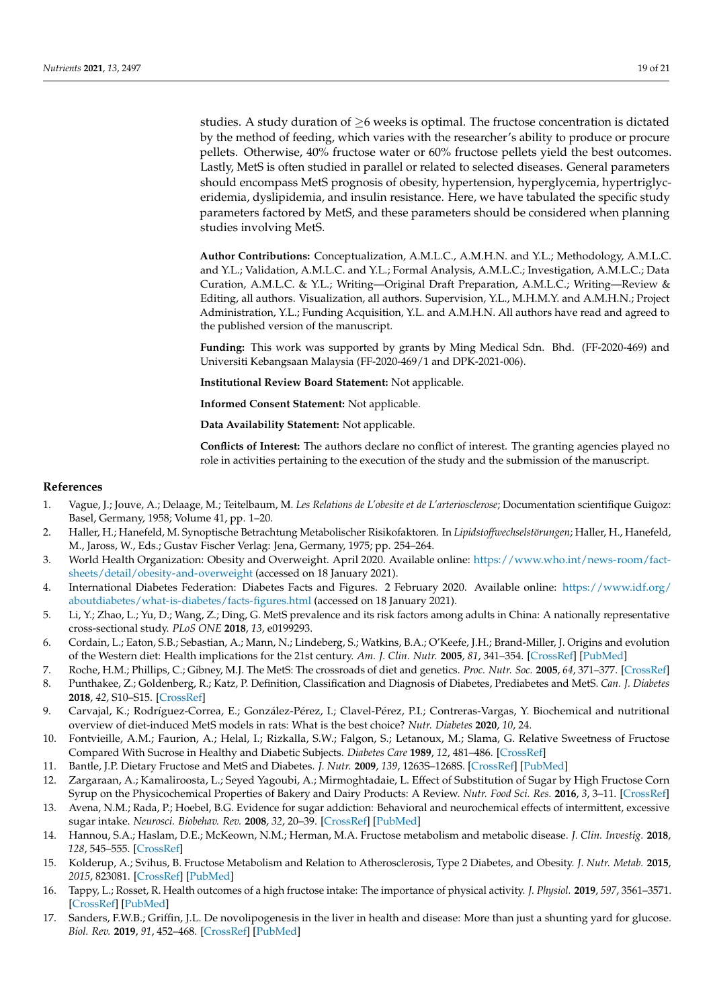studies. A study duration of  $\geq$ 6 weeks is optimal. The fructose concentration is dictated by the method of feeding, which varies with the researcher's ability to produce or procure pellets. Otherwise, 40% fructose water or 60% fructose pellets yield the best outcomes. Lastly, MetS is often studied in parallel or related to selected diseases. General parameters should encompass MetS prognosis of obesity, hypertension, hyperglycemia, hypertriglyceridemia, dyslipidemia, and insulin resistance. Here, we have tabulated the specific study parameters factored by MetS, and these parameters should be considered when planning studies involving MetS.

**Author Contributions:** Conceptualization, A.M.L.C., A.M.H.N. and Y.L.; Methodology, A.M.L.C. and Y.L.; Validation, A.M.L.C. and Y.L.; Formal Analysis, A.M.L.C.; Investigation, A.M.L.C.; Data Curation, A.M.L.C. & Y.L.; Writing—Original Draft Preparation, A.M.L.C.; Writing—Review & Editing, all authors. Visualization, all authors. Supervision, Y.L., M.H.M.Y. and A.M.H.N.; Project Administration, Y.L.; Funding Acquisition, Y.L. and A.M.H.N. All authors have read and agreed to the published version of the manuscript.

**Funding:** This work was supported by grants by Ming Medical Sdn. Bhd. (FF-2020-469) and Universiti Kebangsaan Malaysia (FF-2020-469/1 and DPK-2021-006).

**Institutional Review Board Statement:** Not applicable.

**Informed Consent Statement:** Not applicable.

**Data Availability Statement:** Not applicable.

**Conflicts of Interest:** The authors declare no conflict of interest. The granting agencies played no role in activities pertaining to the execution of the study and the submission of the manuscript.

#### **References**

- <span id="page-18-0"></span>1. Vague, J.; Jouve, A.; Delaage, M.; Teitelbaum, M. *Les Relations de L'obesite et de L'arteriosclerose*; Documentation scientifique Guigoz: Basel, Germany, 1958; Volume 41, pp. 1–20.
- <span id="page-18-1"></span>2. Haller, H.; Hanefeld, M. Synoptische Betrachtung Metabolischer Risikofaktoren. In *Lipidstoffwechselstörungen*; Haller, H., Hanefeld, M., Jaross, W., Eds.; Gustav Fischer Verlag: Jena, Germany, 1975; pp. 254–264.
- <span id="page-18-2"></span>3. World Health Organization: Obesity and Overweight. April 2020. Available online: [https://www.who.int/news-room/fact](https://www.who.int/news-room/fact-sheets/detail/obesity-and-overweight)[sheets/detail/obesity-and-overweight](https://www.who.int/news-room/fact-sheets/detail/obesity-and-overweight) (accessed on 18 January 2021).
- <span id="page-18-3"></span>4. International Diabetes Federation: Diabetes Facts and Figures. 2 February 2020. Available online: [https://www.idf.org/](https://www.idf.org/aboutdiabetes/what-is-diabetes/facts-figures.html) [aboutdiabetes/what-is-diabetes/facts-figures.html](https://www.idf.org/aboutdiabetes/what-is-diabetes/facts-figures.html) (accessed on 18 January 2021).
- <span id="page-18-4"></span>5. Li, Y.; Zhao, L.; Yu, D.; Wang, Z.; Ding, G. MetS prevalence and its risk factors among adults in China: A nationally representative cross-sectional study. *PLoS ONE* **2018**, *13*, e0199293.
- <span id="page-18-5"></span>6. Cordain, L.; Eaton, S.B.; Sebastian, A.; Mann, N.; Lindeberg, S.; Watkins, B.A.; O'Keefe, J.H.; Brand-Miller, J. Origins and evolution of the Western diet: Health implications for the 21st century. *Am. J. Clin. Nutr.* **2005**, *81*, 341–354. [\[CrossRef\]](http://doi.org/10.1093/ajcn.81.2.341) [\[PubMed\]](http://www.ncbi.nlm.nih.gov/pubmed/15699220)
- <span id="page-18-6"></span>7. Roche, H.M.; Phillips, C.; Gibney, M.J. The MetS: The crossroads of diet and genetics. *Proc. Nutr. Soc.* **2005**, *64*, 371–377. [\[CrossRef\]](http://doi.org/10.1079/PNS2005445)
- <span id="page-18-7"></span>8. Punthakee, Z.; Goldenberg, R.; Katz, P. Definition, Classification and Diagnosis of Diabetes, Prediabetes and MetS. *Can. J. Diabetes* **2018**, *42*, S10–S15. [\[CrossRef\]](http://doi.org/10.1016/j.jcjd.2017.10.003)
- <span id="page-18-8"></span>9. Carvajal, K.; Rodríguez-Correa, E.; González-Pérez, I.; Clavel-Pérez, P.I.; Contreras-Vargas, Y. Biochemical and nutritional overview of diet-induced MetS models in rats: What is the best choice? *Nutr. Diabetes* **2020**, *10*, 24.
- <span id="page-18-9"></span>10. Fontvieille, A.M.; Faurion, A.; Helal, I.; Rizkalla, S.W.; Falgon, S.; Letanoux, M.; Slama, G. Relative Sweetness of Fructose Compared With Sucrose in Healthy and Diabetic Subjects. *Diabetes Care* **1989**, *12*, 481–486. [\[CrossRef\]](http://doi.org/10.2337/diacare.12.7.481)
- <span id="page-18-13"></span>11. Bantle, J.P. Dietary Fructose and MetS and Diabetes. *J. Nutr.* **2009**, *139*, 1263S–1268S. [\[CrossRef\]](http://doi.org/10.3945/jn.108.098020) [\[PubMed\]](http://www.ncbi.nlm.nih.gov/pubmed/19403723)
- <span id="page-18-10"></span>12. Zargaraan, A.; Kamaliroosta, L.; Seyed Yagoubi, A.; Mirmoghtadaie, L. Effect of Substitution of Sugar by High Fructose Corn Syrup on the Physicochemical Properties of Bakery and Dairy Products: A Review. *Nutr. Food Sci. Res.* **2016**, *3*, 3–11. [\[CrossRef\]](http://doi.org/10.18869/acadpub.nfsr.3.4.3)
- <span id="page-18-11"></span>13. Avena, N.M.; Rada, P.; Hoebel, B.G. Evidence for sugar addiction: Behavioral and neurochemical effects of intermittent, excessive sugar intake. *Neurosci. Biobehav. Rev.* **2008**, *32*, 20–39. [\[CrossRef\]](http://doi.org/10.1016/j.neubiorev.2007.04.019) [\[PubMed\]](http://www.ncbi.nlm.nih.gov/pubmed/17617461)
- <span id="page-18-12"></span>14. Hannou, S.A.; Haslam, D.E.; McKeown, N.M.; Herman, M.A. Fructose metabolism and metabolic disease. *J. Clin. Investig.* **2018**, *128*, 545–555. [\[CrossRef\]](http://doi.org/10.1172/JCI96702)
- <span id="page-18-14"></span>15. Kolderup, A.; Svihus, B. Fructose Metabolism and Relation to Atherosclerosis, Type 2 Diabetes, and Obesity. *J. Nutr. Metab.* **2015**, *2015*, 823081. [\[CrossRef\]](http://doi.org/10.1155/2015/823081) [\[PubMed\]](http://www.ncbi.nlm.nih.gov/pubmed/26199742)
- <span id="page-18-15"></span>16. Tappy, L.; Rosset, R. Health outcomes of a high fructose intake: The importance of physical activity. *J. Physiol.* **2019**, *597*, 3561–3571. [\[CrossRef\]](http://doi.org/10.1113/JP278246) [\[PubMed\]](http://www.ncbi.nlm.nih.gov/pubmed/31116420)
- <span id="page-18-16"></span>17. Sanders, F.W.B.; Griffin, J.L. De novolipogenesis in the liver in health and disease: More than just a shunting yard for glucose. *Biol. Rev.* **2019**, *91*, 452–468. [\[CrossRef\]](http://doi.org/10.1111/brv.12178) [\[PubMed\]](http://www.ncbi.nlm.nih.gov/pubmed/25740151)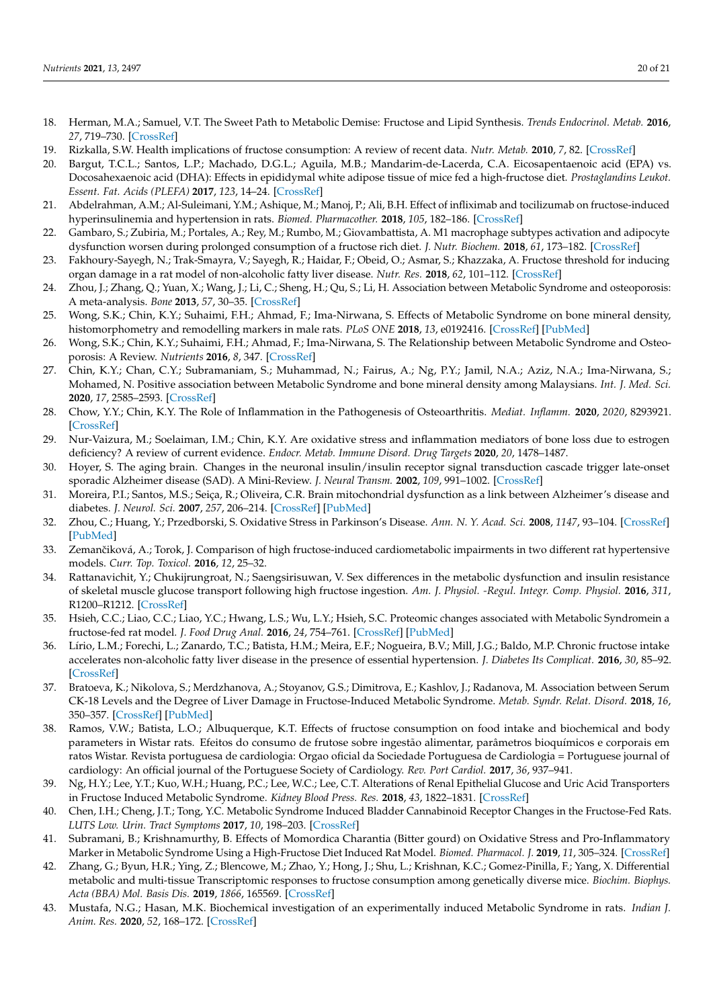- <span id="page-19-23"></span><span id="page-19-21"></span><span id="page-19-18"></span><span id="page-19-15"></span><span id="page-19-0"></span>18. Herman, M.A.; Samuel, V.T. The Sweet Path to Metabolic Demise: Fructose and Lipid Synthesis. *Trends Endocrinol. Metab.* **2016**, *27*, 719–730. [\[CrossRef\]](http://doi.org/10.1016/j.tem.2016.06.005)
- <span id="page-19-1"></span>19. Rizkalla, S.W. Health implications of fructose consumption: A review of recent data. *Nutr. Metab.* **2010**, *7*, 82. [\[CrossRef\]](http://doi.org/10.1186/1743-7075-7-82)
- <span id="page-19-2"></span>20. Bargut, T.C.L.; Santos, L.P.; Machado, D.G.L.; Aguila, M.B.; Mandarim-de-Lacerda, C.A. Eicosapentaenoic acid (EPA) vs. Docosahexaenoic acid (DHA): Effects in epididymal white adipose tissue of mice fed a high-fructose diet. *Prostaglandins Leukot. Essent. Fat. Acids (PLEFA)* **2017**, *123*, 14–24. [\[CrossRef\]](http://doi.org/10.1016/j.plefa.2017.07.004)
- <span id="page-19-31"></span>21. Abdelrahman, A.M.; Al-Suleimani, Y.M.; Ashique, M.; Manoj, P.; Ali, B.H. Effect of infliximab and tocilizumab on fructose-induced hyperinsulinemia and hypertension in rats. *Biomed. Pharmacother.* **2018**, *105*, 182–186. [\[CrossRef\]](http://doi.org/10.1016/j.biopha.2018.05.118)
- <span id="page-19-36"></span>22. Gambaro, S.; Zubiria, M.; Portales, A.; Rey, M.; Rumbo, M.; Giovambattista, A. M1 macrophage subtypes activation and adipocyte dysfunction worsen during prolonged consumption of a fructose rich diet. *J. Nutr. Biochem.* **2018**, *61*, 173–182. [\[CrossRef\]](http://doi.org/10.1016/j.jnutbio.2018.08.004)
- <span id="page-19-11"></span><span id="page-19-3"></span>23. Fakhoury-Sayegh, N.; Trak-Smayra, V.; Sayegh, R.; Haidar, F.; Obeid, O.; Asmar, S.; Khazzaka, A. Fructose threshold for inducing organ damage in a rat model of non-alcoholic fatty liver disease. *Nutr. Res.* **2018**, *62*, 101–112. [\[CrossRef\]](http://doi.org/10.1016/j.nutres.2018.11.003)
- <span id="page-19-12"></span><span id="page-19-4"></span>24. Zhou, J.; Zhang, Q.; Yuan, X.; Wang, J.; Li, C.; Sheng, H.; Qu, S.; Li, H. Association between Metabolic Syndrome and osteoporosis: A meta-analysis. *Bone* **2013**, *57*, 30–35. [\[CrossRef\]](http://doi.org/10.1016/j.bone.2013.07.013)
- <span id="page-19-13"></span><span id="page-19-5"></span>25. Wong, S.K.; Chin, K.Y.; Suhaimi, F.H.; Ahmad, F.; Ima-Nirwana, S. Effects of Metabolic Syndrome on bone mineral density, histomorphometry and remodelling markers in male rats. *PLoS ONE* **2018**, *13*, e0192416. [\[CrossRef\]](http://doi.org/10.1371/journal.pone.0192416) [\[PubMed\]](http://www.ncbi.nlm.nih.gov/pubmed/29420594)
- <span id="page-19-14"></span><span id="page-19-6"></span>26. Wong, S.K.; Chin, K.Y.; Suhaimi, F.H.; Ahmad, F.; Ima-Nirwana, S. The Relationship between Metabolic Syndrome and Osteoporosis: A Review. *Nutrients* **2016**, *8*, 347. [\[CrossRef\]](http://doi.org/10.3390/nu8060347)
- <span id="page-19-16"></span>27. Chin, K.Y.; Chan, C.Y.; Subramaniam, S.; Muhammad, N.; Fairus, A.; Ng, P.Y.; Jamil, N.A.; Aziz, N.A.; Ima-Nirwana, S.; Mohamed, N. Positive association between Metabolic Syndrome and bone mineral density among Malaysians. *Int. J. Med. Sci.* **2020**, *17*, 2585–2593. [\[CrossRef\]](http://doi.org/10.7150/ijms.49030)
- 28. Chow, Y.Y.; Chin, K.Y. The Role of Inflammation in the Pathogenesis of Osteoarthritis. *Mediat. Inflamm.* **2020**, *2020*, 8293921. [\[CrossRef\]](http://doi.org/10.1155/2020/8293921)
- <span id="page-19-17"></span><span id="page-19-7"></span>29. Nur-Vaizura, M.; Soelaiman, I.M.; Chin, K.Y. Are oxidative stress and inflammation mediators of bone loss due to estrogen deficiency? A review of current evidence. *Endocr. Metab. Immune Disord. Drug Targets* **2020**, *20*, 1478–1487.
- <span id="page-19-8"></span>30. Hoyer, S. The aging brain. Changes in the neuronal insulin/insulin receptor signal transduction cascade trigger late-onset sporadic Alzheimer disease (SAD). A Mini-Review. *J. Neural Transm.* **2002**, *109*, 991–1002. [\[CrossRef\]](http://doi.org/10.1007/s007020200082)
- <span id="page-19-19"></span><span id="page-19-9"></span>31. Moreira, P.I.; Santos, M.S.; Seiça, R.; Oliveira, C.R. Brain mitochondrial dysfunction as a link between Alzheimer's disease and diabetes. *J. Neurol. Sci.* **2007**, *257*, 206–214. [\[CrossRef\]](http://doi.org/10.1016/j.jns.2007.01.017) [\[PubMed\]](http://www.ncbi.nlm.nih.gov/pubmed/17316694)
- <span id="page-19-20"></span><span id="page-19-10"></span>32. Zhou, C.; Huang, Y.; Przedborski, S. Oxidative Stress in Parkinson's Disease. *Ann. N. Y. Acad. Sci.* **2008**, *1147*, 93–104. [\[CrossRef\]](http://doi.org/10.1196/annals.1427.023) [\[PubMed\]](http://www.ncbi.nlm.nih.gov/pubmed/19076434)
- <span id="page-19-26"></span><span id="page-19-22"></span>33. Zemančiková, A.; Torok, J. Comparison of high fructose-induced cardiometabolic impairments in two different rat hypertensive models. *Curr. Top. Toxicol.* **2016**, *12*, 25–32.
- <span id="page-19-33"></span><span id="page-19-24"></span>34. Rattanavichit, Y.; Chukijrungroat, N.; Saengsirisuwan, V. Sex differences in the metabolic dysfunction and insulin resistance of skeletal muscle glucose transport following high fructose ingestion. *Am. J. Physiol. -Regul. Integr. Comp. Physiol.* **2016**, *311*, R1200–R1212. [\[CrossRef\]](http://doi.org/10.1152/ajpregu.00230.2016)
- <span id="page-19-37"></span><span id="page-19-25"></span>35. Hsieh, C.C.; Liao, C.C.; Liao, Y.C.; Hwang, L.S.; Wu, L.Y.; Hsieh, S.C. Proteomic changes associated with Metabolic Syndromein a fructose-fed rat model. *J. Food Drug Anal.* **2016**, *24*, 754–761. [\[CrossRef\]](http://doi.org/10.1016/j.jfda.2016.03.005) [\[PubMed\]](http://www.ncbi.nlm.nih.gov/pubmed/28911613)
- <span id="page-19-27"></span>36. Lírio, L.M.; Forechi, L.; Zanardo, T.C.; Batista, H.M.; Meira, E.F.; Nogueira, B.V.; Mill, J.G.; Baldo, M.P. Chronic fructose intake accelerates non-alcoholic fatty liver disease in the presence of essential hypertension. *J. Diabetes Its Complicat.* **2016**, *30*, 85–92. [\[CrossRef\]](http://doi.org/10.1016/j.jdiacomp.2015.10.008)
- <span id="page-19-35"></span>37. Bratoeva, K.; Nikolova, S.; Merdzhanova, A.; Stoyanov, G.S.; Dimitrova, E.; Kashlov, J.; Radanova, M. Association between Serum CK-18 Levels and the Degree of Liver Damage in Fructose-Induced Metabolic Syndrome. *Metab. Syndr. Relat. Disord.* **2018**, *16*, 350–357. [\[CrossRef\]](http://doi.org/10.1089/met.2017.0162) [\[PubMed\]](http://www.ncbi.nlm.nih.gov/pubmed/29989845)
- <span id="page-19-28"></span>38. Ramos, V.W.; Batista, L.O.; Albuquerque, K.T. Effects of fructose consumption on food intake and biochemical and body parameters in Wistar rats. Efeitos do consumo de frutose sobre ingestão alimentar, parâmetros bioquímicos e corporais em ratos Wistar. Revista portuguesa de cardiologia: Orgao oficial da Sociedade Portuguesa de Cardiologia = Portuguese journal of cardiology: An official journal of the Portuguese Society of Cardiology. *Rev. Port Cardiol.* **2017**, *36*, 937–941.
- <span id="page-19-34"></span>39. Ng, H.Y.; Lee, Y.T.; Kuo, W.H.; Huang, P.C.; Lee, W.C.; Lee, C.T. Alterations of Renal Epithelial Glucose and Uric Acid Transporters in Fructose Induced Metabolic Syndrome. *Kidney Blood Press. Res.* **2018**, *43*, 1822–1831. [\[CrossRef\]](http://doi.org/10.1159/000495814)
- <span id="page-19-38"></span>40. Chen, I.H.; Cheng, J.T.; Tong, Y.C. Metabolic Syndrome Induced Bladder Cannabinoid Receptor Changes in the Fructose-Fed Rats. *LUTS Low. Urin. Tract Symptoms* **2017**, *10*, 198–203. [\[CrossRef\]](http://doi.org/10.1111/luts.12156)
- <span id="page-19-29"></span>41. Subramani, B.; Krishnamurthy, B. Effects of Momordica Charantia (Bitter gourd) on Oxidative Stress and Pro-Inflammatory Marker in Metabolic Syndrome Using a High-Fructose Diet Induced Rat Model. *Biomed. Pharmacol. J.* **2019**, *11*, 305–324. [\[CrossRef\]](http://doi.org/10.13005/bpj/1642)
- <span id="page-19-32"></span>42. Zhang, G.; Byun, H.R.; Ying, Z.; Blencowe, M.; Zhao, Y.; Hong, J.; Shu, L.; Krishnan, K.C.; Gomez-Pinilla, F.; Yang, X. Differential metabolic and multi-tissue Transcriptomic responses to fructose consumption among genetically diverse mice. *Biochim. Biophys. Acta (BBA) Mol. Basis Dis.* **2019**, *1866*, 165569. [\[CrossRef\]](http://doi.org/10.1016/j.bbadis.2019.165569)
- <span id="page-19-30"></span>43. Mustafa, N.G.; Hasan, M.K. Biochemical investigation of an experimentally induced Metabolic Syndrome in rats. *Indian J. Anim. Res.* **2020**, *52*, 168–172. [\[CrossRef\]](http://doi.org/10.18805/ijar.B-1028)